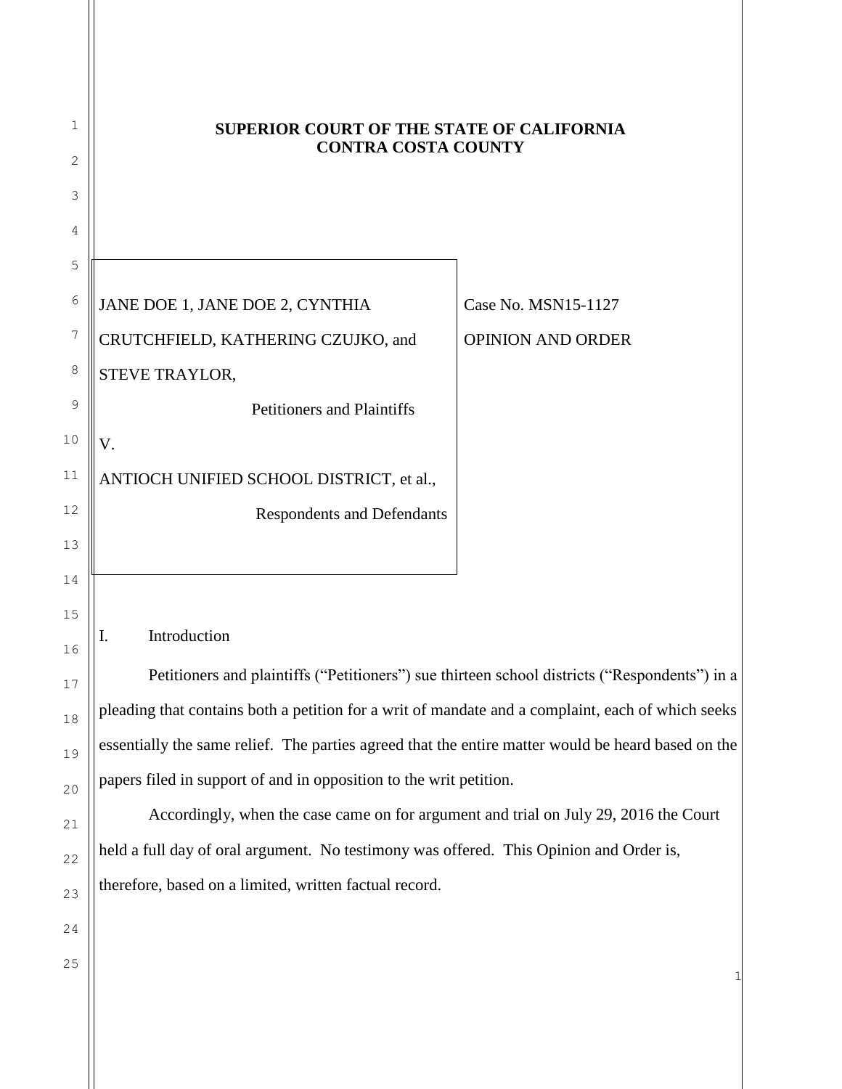| 1      | SUPERIOR COURT OF THE STATE OF CALIFORNIA<br><b>CONTRA COSTA COUNTY</b>                            |                          |
|--------|----------------------------------------------------------------------------------------------------|--------------------------|
| 2      |                                                                                                    |                          |
| 3      |                                                                                                    |                          |
| 4      |                                                                                                    |                          |
| 5      |                                                                                                    |                          |
| 6      | JANE DOE 1, JANE DOE 2, CYNTHIA                                                                    | Case No. MSN15-1127      |
| 7      | CRUTCHFIELD, KATHERING CZUJKO, and                                                                 | <b>OPINION AND ORDER</b> |
| 8      | STEVE TRAYLOR,                                                                                     |                          |
| 9      | <b>Petitioners and Plaintiffs</b>                                                                  |                          |
| $10$   | V.                                                                                                 |                          |
| 11     | ANTIOCH UNIFIED SCHOOL DISTRICT, et al.,                                                           |                          |
| 12     | <b>Respondents and Defendants</b>                                                                  |                          |
| 13     |                                                                                                    |                          |
| 14     |                                                                                                    |                          |
| 15     |                                                                                                    |                          |
| 16     | Introduction<br>I.                                                                                 |                          |
| $17\,$ | Petitioners and plaintiffs ("Petitioners") sue thirteen school districts ("Respondents") in a      |                          |
| 18     | pleading that contains both a petition for a writ of mandate and a complaint, each of which seeks  |                          |
| 19     | essentially the same relief. The parties agreed that the entire matter would be heard based on the |                          |
| 20     | papers filed in support of and in opposition to the writ petition.                                 |                          |
| 21     | Accordingly, when the case came on for argument and trial on July 29, 2016 the Court               |                          |
| 22     | held a full day of oral argument. No testimony was offered. This Opinion and Order is,             |                          |
| 23     | therefore, based on a limited, written factual record.                                             |                          |
| 24     |                                                                                                    |                          |
|        |                                                                                                    |                          |

25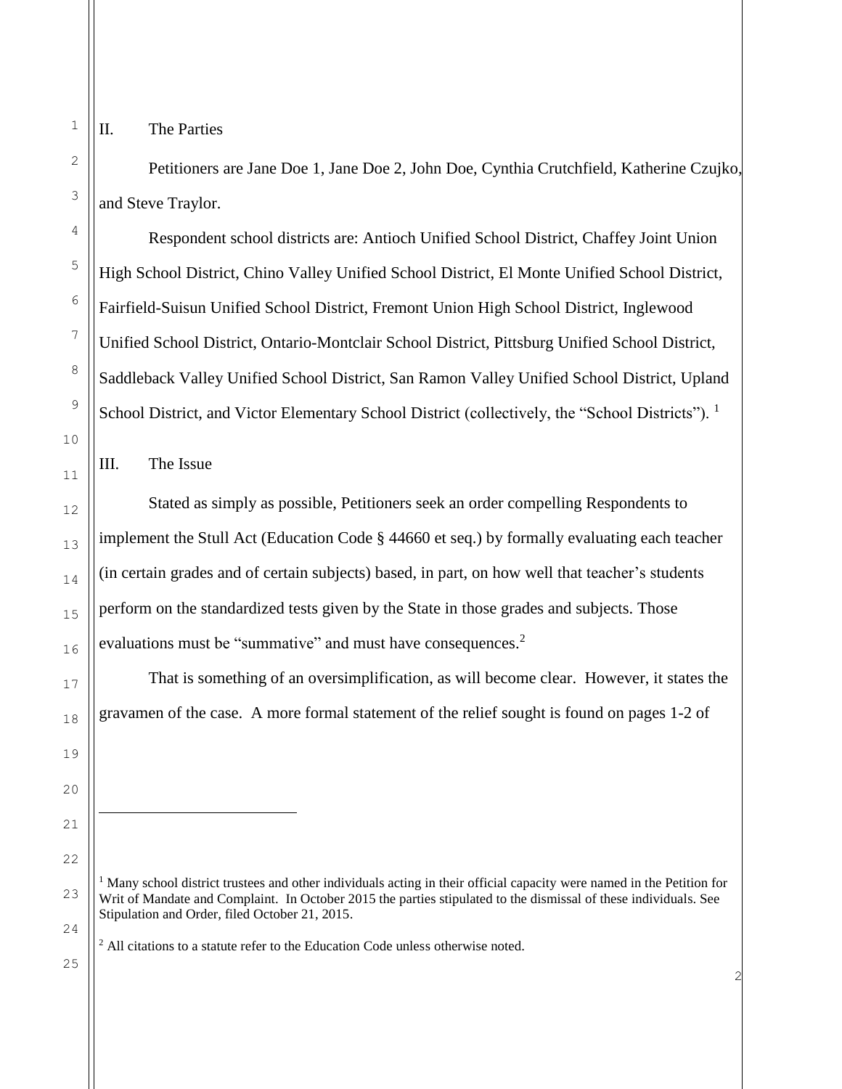j.

#### II. The Parties

Petitioners are Jane Doe 1, Jane Doe 2, John Doe, Cynthia Crutchfield, Katherine Czujko, and Steve Traylor.

Respondent school districts are: Antioch Unified School District, Chaffey Joint Union High School District, Chino Valley Unified School District, El Monte Unified School District, Fairfield-Suisun Unified School District, Fremont Union High School District, Inglewood Unified School District, Ontario-Montclair School District, Pittsburg Unified School District, Saddleback Valley Unified School District, San Ramon Valley Unified School District, Upland School District, and Victor Elementary School District (collectively, the "School Districts"). <sup>1</sup>

III. The Issue

Stated as simply as possible, Petitioners seek an order compelling Respondents to implement the Stull Act (Education Code § 44660 et seq.) by formally evaluating each teacher (in certain grades and of certain subjects) based, in part, on how well that teacher's students perform on the standardized tests given by the State in those grades and subjects. Those evaluations must be "summative" and must have consequences.<sup>2</sup>

That is something of an oversimplification, as will become clear. However, it states the gravamen of the case. A more formal statement of the relief sought is found on pages 1-2 of

<sup>2</sup> All citations to a statute refer to the Education Code unless otherwise noted.

 $<sup>1</sup>$  Many school district trustees and other individuals acting in their official capacity were named in the Petition for</sup> Writ of Mandate and Complaint. In October 2015 the parties stipulated to the dismissal of these individuals. See Stipulation and Order, filed October 21, 2015.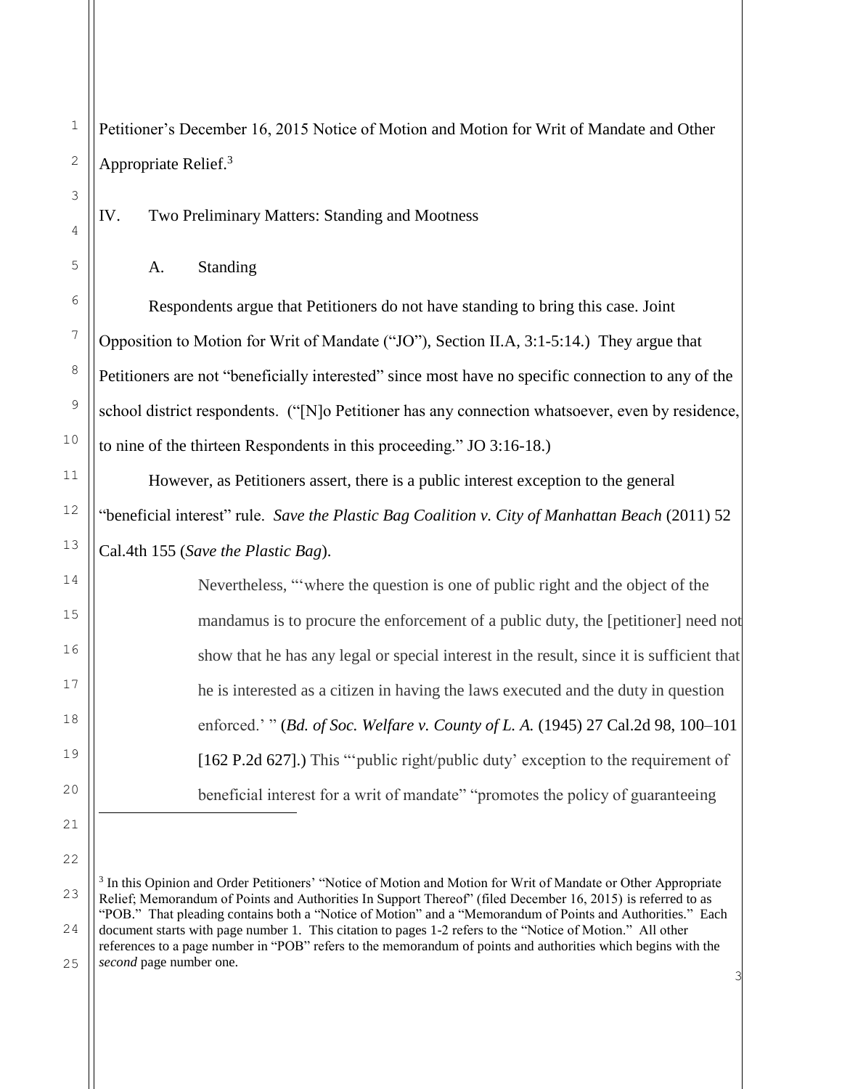1 2 3 4 5 6 7 8 9 10 11 12 13 14 15 16 17 18 19 20 21 22 Petitioner's December 16, 2015 Notice of Motion and Motion for Writ of Mandate and Other Appropriate Relief.<sup>3</sup> IV. Two Preliminary Matters: Standing and Mootness A. Standing Respondents argue that Petitioners do not have standing to bring this case. Joint Opposition to Motion for Writ of Mandate ("JO"), Section II.A, 3:1-5:14.) They argue that Petitioners are not "beneficially interested" since most have no specific connection to any of the school district respondents. ("[N]o Petitioner has any connection whatsoever, even by residence, to nine of the thirteen Respondents in this proceeding." JO 3:16-18.) However, as Petitioners assert, there is a public interest exception to the general "beneficial interest" rule. *Save the Plastic Bag Coalition v. City of Manhattan Beach* (2011) 52 Cal.4th 155 (*Save the Plastic Bag*). Nevertheless, "'where the question is one of public right and the object of the mandamus is to procure the enforcement of a public duty, the [petitioner] need not show that he has any legal or special interest in the result, since it is sufficient that he is interested as a citizen in having the laws executed and the duty in question enforced.' " (*[Bd. of Soc. Welfare v. County of L. A.](http://www.lexis.com/research/buttonTFLink?_m=98ee16dd5387af9b48bb96b5cf2e5b32&_xfercite=%3ccite%20cc%3d%22USA%22%3e%3c%21%5bCDATA%5b52%20Cal.%204th%20155%5d%5d%3e%3c%2fcite%3e&_butType=3&_butStat=2&_butNum=92&_butInline=1&_butinfo=%3ccite%20cc%3d%22USA%22%3e%3c%21%5bCDATA%5b27%20Cal.%202d%2098%2c%20100%5d%5d%3e%3c%2fcite%3e&_fmtstr=FULL&docnum=1&_startdoc=1&wchp=dGLbVzt-zSkAW&_md5=70aa60618633bd9cfdd572fb80759d09)* (1945) 27 Cal.2d 98, 100–101 [\[162 P.2d 627\].](http://www.lexis.com/research/buttonTFLink?_m=98ee16dd5387af9b48bb96b5cf2e5b32&_xfercite=%3ccite%20cc%3d%22USA%22%3e%3c%21%5bCDATA%5b52%20Cal.%204th%20155%5d%5d%3e%3c%2fcite%3e&_butType=3&_butStat=2&_butNum=92&_butInline=1&_butinfo=%3ccite%20cc%3d%22USA%22%3e%3c%21%5bCDATA%5b27%20Cal.%202d%2098%2c%20100%5d%5d%3e%3c%2fcite%3e&_fmtstr=FULL&docnum=1&_startdoc=1&wchp=dGLbVzt-zSkAW&_md5=70aa60618633bd9cfdd572fb80759d09)) This "'public right/public duty' exception to the requirement of beneficial interest for a writ of mandate" "promotes the policy of guaranteeing j.

<sup>23</sup> 24 25 <sup>3</sup> In this Opinion and Order Petitioners' "Notice of Motion and Motion for Writ of Mandate or Other Appropriate Relief; Memorandum of Points and Authorities In Support Thereof" (filed December 16, 2015) is referred to as "POB." That pleading contains both a "Notice of Motion" and a "Memorandum of Points and Authorities." Each document starts with page number 1. This citation to pages 1-2 refers to the "Notice of Motion." All other references to a page number in "POB" refers to the memorandum of points and authorities which begins with the *second* page number one.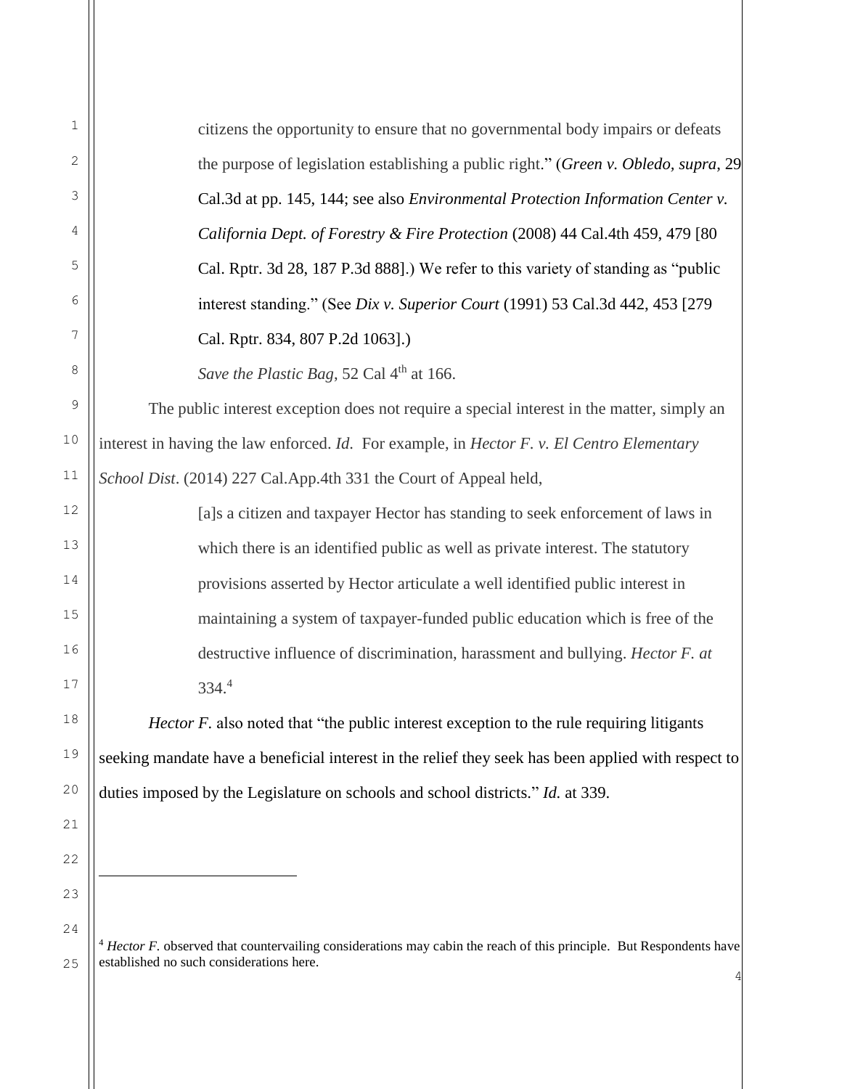| 1  | citizens the opportunity to ensure that no governmental body impairs or defeats                     |
|----|-----------------------------------------------------------------------------------------------------|
| 2  | the purpose of legislation establishing a public right." (Green v. Obledo, supra, 29                |
| 3  | Cal.3d at pp. 145, 144; see also Environmental Protection Information Center v.                     |
| 4  | California Dept. of Forestry & Fire Protection (2008) 44 Cal.4th 459, 479 [80                       |
| 5  | Cal. Rptr. 3d 28, 187 P.3d 888].) We refer to this variety of standing as "public                   |
| 6  | interest standing." (See Dix v. Superior Court (1991) 53 Cal.3d 442, 453 [279                       |
| 7  | Cal. Rptr. 834, 807 P.2d 1063].)                                                                    |
| 8  | Save the Plastic Bag, 52 Cal 4 <sup>th</sup> at 166.                                                |
| 9  | The public interest exception does not require a special interest in the matter, simply an          |
| 10 | interest in having the law enforced. Id. For example, in Hector F. v. El Centro Elementary          |
| 11 | School Dist. (2014) 227 Cal.App.4th 331 the Court of Appeal held,                                   |
| 12 | [a]s a citizen and taxpayer Hector has standing to seek enforcement of laws in                      |
| 13 | which there is an identified public as well as private interest. The statutory                      |
| 14 | provisions asserted by Hector articulate a well identified public interest in                       |
| 15 | maintaining a system of taxpayer-funded public education which is free of the                       |
| 16 | destructive influence of discrimination, harassment and bullying. Hector F. at                      |
| 17 | 334.4                                                                                               |
| 18 | Hector F. also noted that "the public interest exception to the rule requiring litigants            |
| 19 | seeking mandate have a beneficial interest in the relief they seek has been applied with respect to |
| 20 | duties imposed by the Legislature on schools and school districts." Id. at 339.                     |
| 21 |                                                                                                     |
| 22 |                                                                                                     |
| 23 |                                                                                                     |
| 24 |                                                                                                     |

<sup>4</sup> 25 <sup>4</sup> *Hector F.* observed that countervailing considerations may cabin the reach of this principle. But Respondents have established no such considerations here.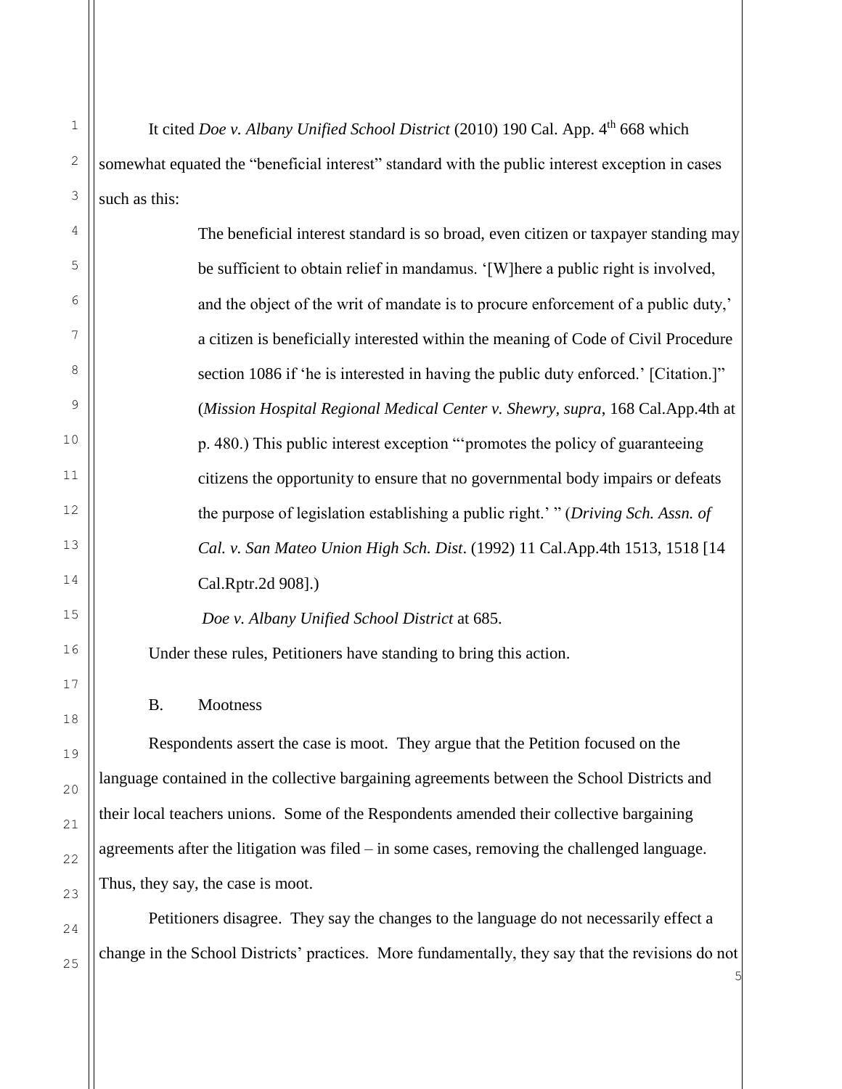It cited *Doe v. Albany Unified School District* (2010) 190 Cal. App. 4<sup>th</sup> 668 which somewhat equated the "beneficial interest" standard with the public interest exception in cases such as this:

The beneficial interest standard is so broad, even citizen or taxpayer standing may be sufficient to obtain relief in mandamus. '[W]here a public right is involved, and the object of the writ of mandate is to procure enforcement of a public duty,' a citizen is beneficially interested within the meaning of Code of Civil Procedure section 1086 if 'he is interested in having the public duty enforced.' [Citation.]" (*Mission Hospital Regional Medical Center v. Shewry, supra*, 168 Cal.App.4th at p. 480.) This public interest exception "'promotes the policy of guaranteeing citizens the opportunity to ensure that no governmental body impairs or defeats the purpose of legislation establishing a public right.' " (*Driving Sch. Assn. of Cal. v. San Mateo Union High Sch. Dist*. (1992) 11 Cal.App.4th 1513, 1518 [14 Cal.Rptr.2d 908].)

*Doe v. Albany Unified School District* at 685.

Under these rules, Petitioners have standing to bring this action.

B. Mootness

Respondents assert the case is moot. They argue that the Petition focused on the language contained in the collective bargaining agreements between the School Districts and their local teachers unions. Some of the Respondents amended their collective bargaining agreements after the litigation was filed – in some cases, removing the challenged language. Thus, they say, the case is moot.

Petitioners disagree. They say the changes to the language do not necessarily effect a change in the School Districts' practices. More fundamentally, they say that the revisions do not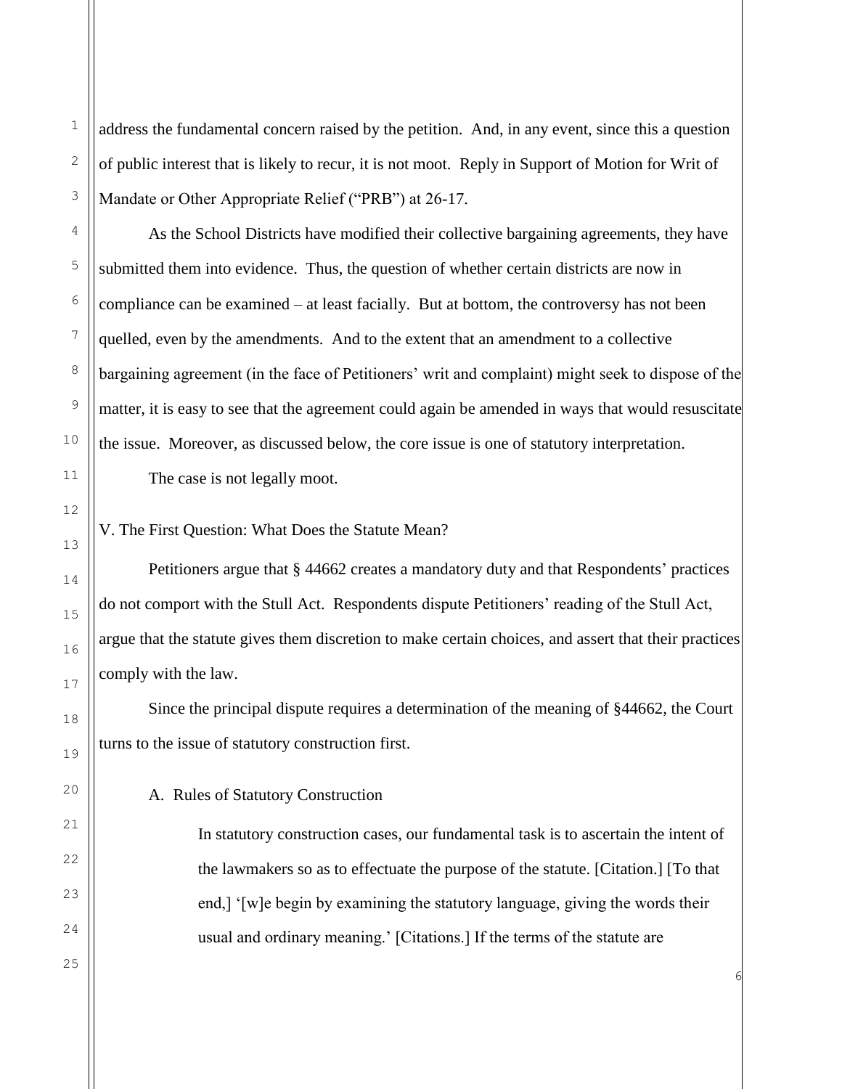address the fundamental concern raised by the petition. And, in any event, since this a question of public interest that is likely to recur, it is not moot. Reply in Support of Motion for Writ of Mandate or Other Appropriate Relief ("PRB") at 26-17.

As the School Districts have modified their collective bargaining agreements, they have submitted them into evidence. Thus, the question of whether certain districts are now in compliance can be examined – at least facially. But at bottom, the controversy has not been quelled, even by the amendments. And to the extent that an amendment to a collective bargaining agreement (in the face of Petitioners' writ and complaint) might seek to dispose of the matter, it is easy to see that the agreement could again be amended in ways that would resuscitate the issue. Moreover, as discussed below, the core issue is one of statutory interpretation.

The case is not legally moot.

V. The First Question: What Does the Statute Mean?

Petitioners argue that § 44662 creates a mandatory duty and that Respondents' practices do not comport with the Stull Act. Respondents dispute Petitioners' reading of the Stull Act, argue that the statute gives them discretion to make certain choices, and assert that their practices comply with the law.

Since the principal dispute requires a determination of the meaning of §44662, the Court turns to the issue of statutory construction first.

A. Rules of Statutory Construction

In statutory construction cases, our fundamental task is to ascertain the intent of the lawmakers so as to effectuate the purpose of the statute. [Citation.] [To that end,] '[w]e begin by examining the statutory language, giving the words their usual and ordinary meaning.' [Citations.] If the terms of the statute are

6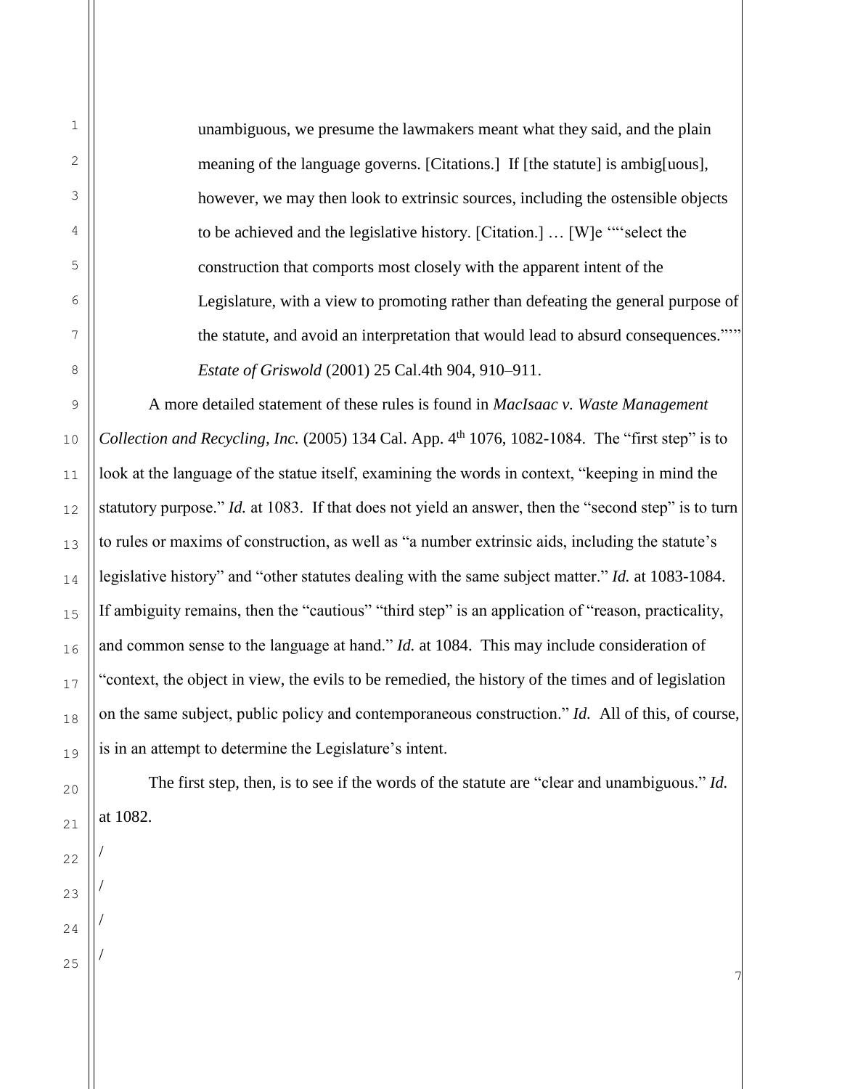unambiguous, we presume the lawmakers meant what they said, and the plain meaning of the language governs. [Citations.] If [the statute] is ambig[uous], however, we may then look to extrinsic sources, including the ostensible objects to be achieved and the legislative history. [Citation.] … [W]e '"'select the construction that comports most closely with the apparent intent of the Legislature, with a view to promoting rather than defeating the general purpose of the statute, and avoid an interpretation that would lead to absurd consequences."'" *Estate of Griswold* (2001) 25 Cal.4th 904, 910–911.

A more detailed statement of these rules is found in *MacIsaac v. Waste Management Collection and Recycling, Inc.* (2005) 134 Cal. App. 4<sup>th</sup> 1076, 1082-1084. The "first step" is to look at the language of the statue itself, examining the words in context, "keeping in mind the statutory purpose." *Id.* at 1083. If that does not yield an answer, then the "second step" is to turn to rules or maxims of construction, as well as "a number extrinsic aids, including the statute's legislative history" and "other statutes dealing with the same subject matter." *Id.* at 1083-1084. If ambiguity remains, then the "cautious" "third step" is an application of "reason, practicality, and common sense to the language at hand." *Id.* at 1084. This may include consideration of "context, the object in view, the evils to be remedied, the history of the times and of legislation on the same subject, public policy and contemporaneous construction." *Id.* All of this, of course, is in an attempt to determine the Legislature's intent.

The first step, then, is to see if the words of the statute are "clear and unambiguous." *Id.*  at 1082.

7

/

/

/

/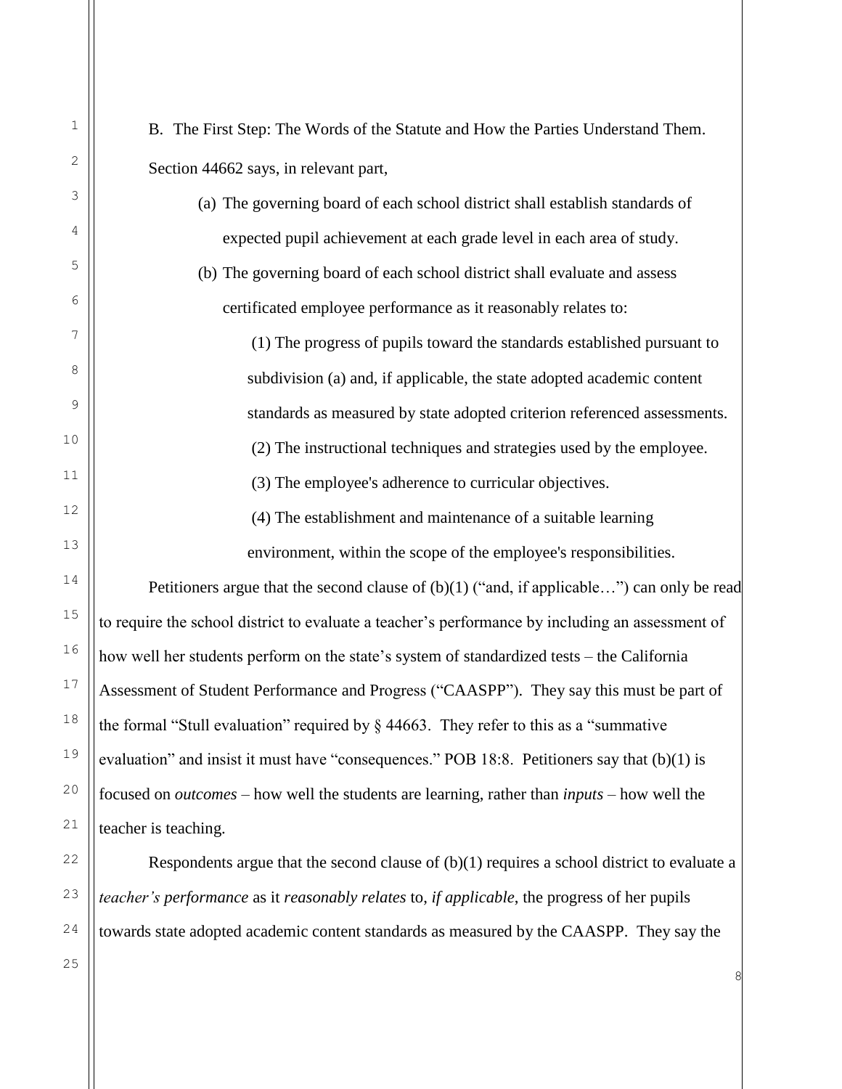2 3 5 6 12 13 14 15 16 17 18 19 20 21 B. The First Step: The Words of the Statute and How the Parties Understand Them. Section 44662 says, in relevant part, (a) The governing board of each school district shall establish standards of expected pupil achievement at each grade level in each area of study. (b) The governing board of each school district shall evaluate and assess certificated employee performance as it reasonably relates to: (1) The progress of pupils toward the standards established pursuant to subdivision (a) and, if applicable, the state adopted academic content standards as measured by state adopted criterion referenced assessments. (2) The instructional techniques and strategies used by the employee. (3) The employee's adherence to curricular objectives. (4) The establishment and maintenance of a suitable learning environment, within the scope of the employee's responsibilities. Petitioners argue that the second clause of  $(b)(1)$  ("and, if applicable...") can only be read to require the school district to evaluate a teacher's performance by including an assessment of how well her students perform on the state's system of standardized tests – the California Assessment of Student Performance and Progress ("CAASPP"). They say this must be part of the formal "Stull evaluation" required by § 44663. They refer to this as a "summative evaluation" and insist it must have "consequences." POB 18:8. Petitioners say that (b)(1) is focused on *outcomes* – how well the students are learning, rather than *inputs* – how well the teacher is teaching. Respondents argue that the second clause of (b)(1) requires a school district to evaluate a

*teacher's performance* as it *reasonably relates* to, *if applicable*, the progress of her pupils towards state adopted academic content standards as measured by the CAASPP. They say the

25

1

4

7

8

9

10

11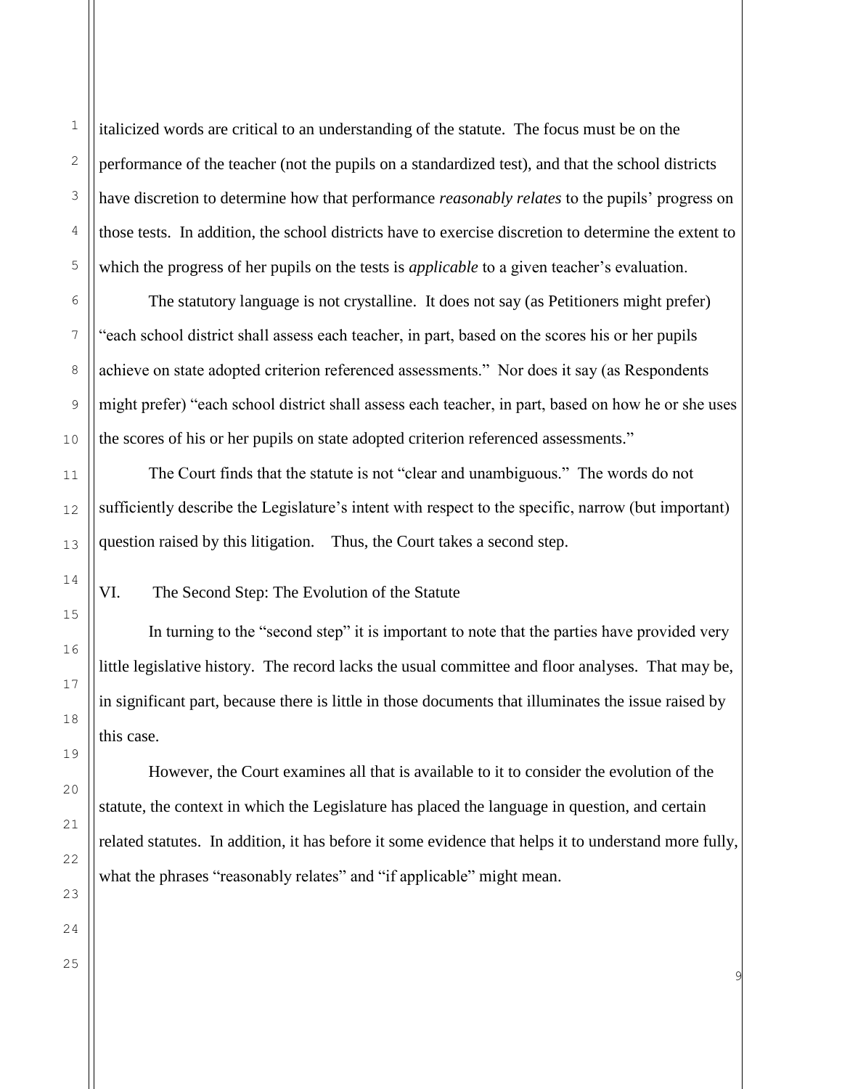italicized words are critical to an understanding of the statute. The focus must be on the performance of the teacher (not the pupils on a standardized test), and that the school districts have discretion to determine how that performance *reasonably relates* to the pupils' progress on those tests. In addition, the school districts have to exercise discretion to determine the extent to which the progress of her pupils on the tests is *applicable* to a given teacher's evaluation.

The statutory language is not crystalline. It does not say (as Petitioners might prefer) "each school district shall assess each teacher, in part, based on the scores his or her pupils achieve on state adopted criterion referenced assessments." Nor does it say (as Respondents might prefer) "each school district shall assess each teacher, in part, based on how he or she uses the scores of his or her pupils on state adopted criterion referenced assessments."

The Court finds that the statute is not "clear and unambiguous." The words do not sufficiently describe the Legislature's intent with respect to the specific, narrow (but important) question raised by this litigation. Thus, the Court takes a second step.

VI. The Second Step: The Evolution of the Statute

In turning to the "second step" it is important to note that the parties have provided very little legislative history. The record lacks the usual committee and floor analyses. That may be, in significant part, because there is little in those documents that illuminates the issue raised by this case.

However, the Court examines all that is available to it to consider the evolution of the statute, the context in which the Legislature has placed the language in question, and certain related statutes. In addition, it has before it some evidence that helps it to understand more fully, what the phrases "reasonably relates" and "if applicable" might mean.

9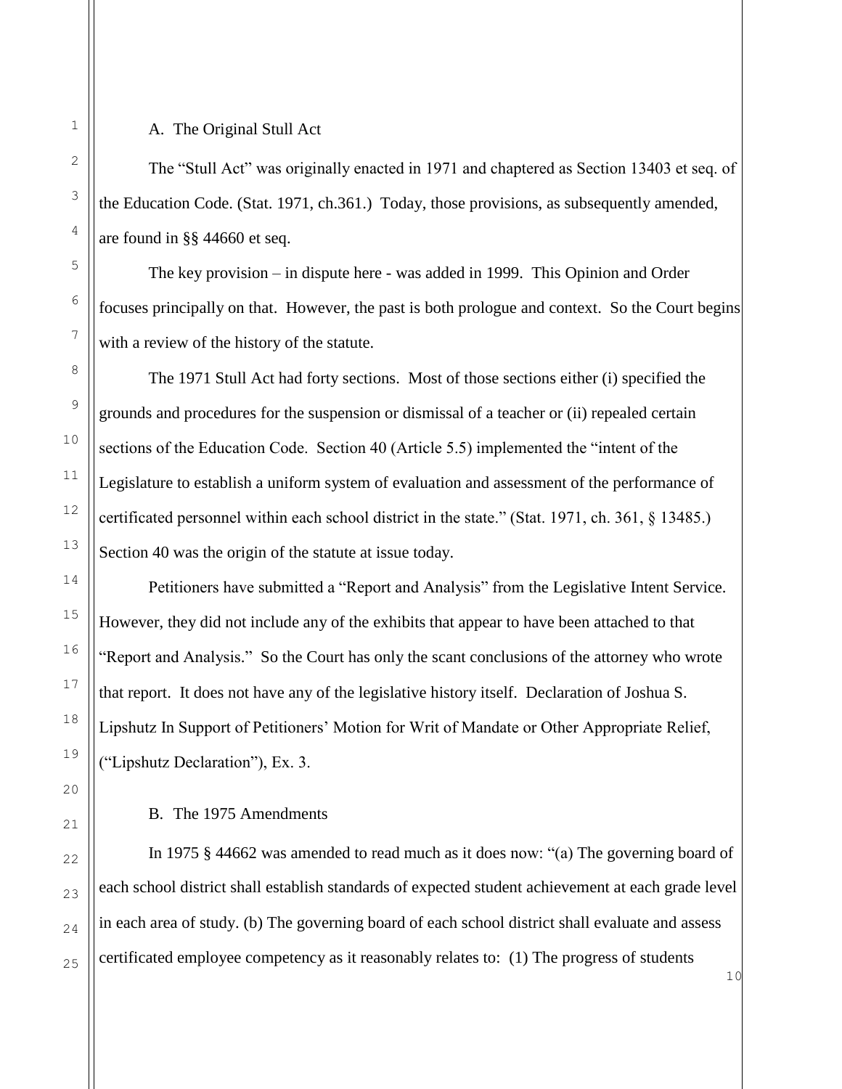## A. The Original Stull Act

The "Stull Act" was originally enacted in 1971 and chaptered as Section 13403 et seq. of the Education Code. (Stat. 1971, ch.361.) Today, those provisions, as subsequently amended, are found in §§ 44660 et seq.

The key provision – in dispute here - was added in 1999. This Opinion and Order focuses principally on that. However, the past is both prologue and context. So the Court begins with a review of the history of the statute.

The 1971 Stull Act had forty sections. Most of those sections either (i) specified the grounds and procedures for the suspension or dismissal of a teacher or (ii) repealed certain sections of the Education Code. Section 40 (Article 5.5) implemented the "intent of the Legislature to establish a uniform system of evaluation and assessment of the performance of certificated personnel within each school district in the state." (Stat. 1971, ch. 361, § 13485.) Section 40 was the origin of the statute at issue today.

Petitioners have submitted a "Report and Analysis" from the Legislative Intent Service. However, they did not include any of the exhibits that appear to have been attached to that "Report and Analysis." So the Court has only the scant conclusions of the attorney who wrote that report. It does not have any of the legislative history itself. Declaration of Joshua S. Lipshutz In Support of Petitioners' Motion for Writ of Mandate or Other Appropriate Relief, ("Lipshutz Declaration"), Ex. 3.

B. The 1975 Amendments

In 1975 § 44662 was amended to read much as it does now: "(a) The governing board of each school district shall establish standards of expected student achievement at each grade level in each area of study. (b) The governing board of each school district shall evaluate and assess certificated employee competency as it reasonably relates to: (1) The progress of students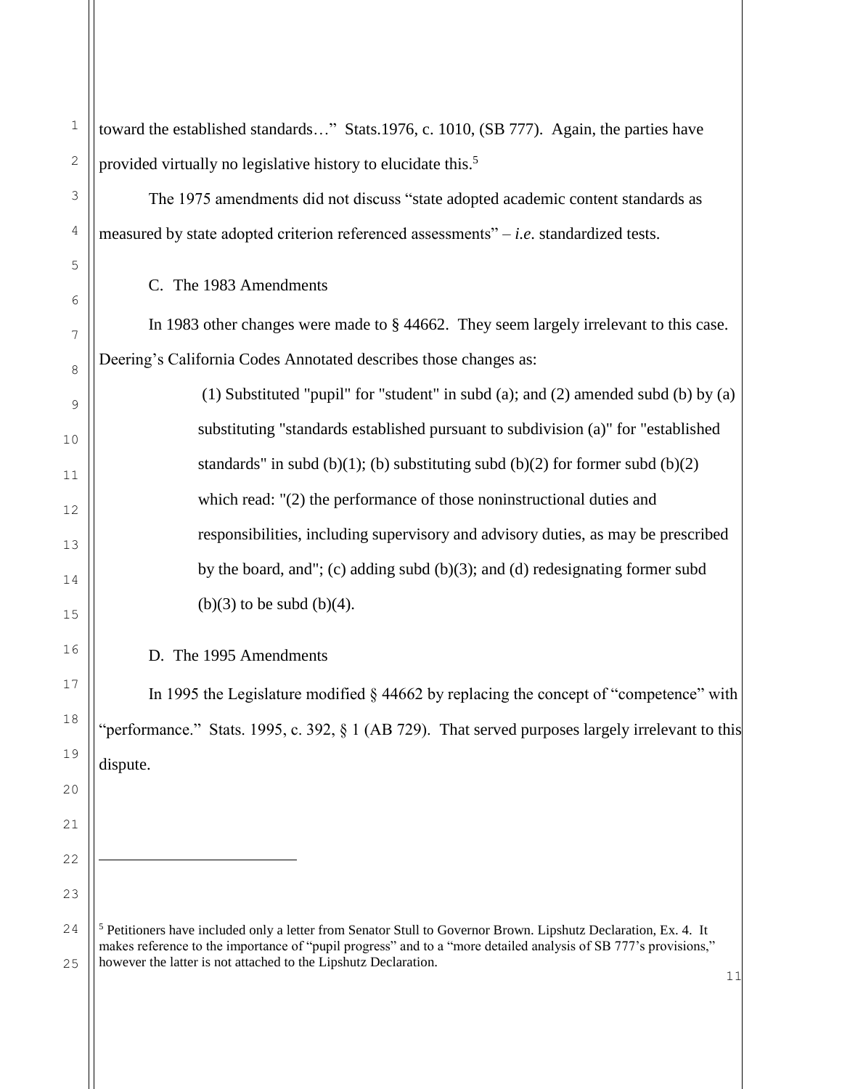| $1\,$            | toward the established standards" Stats.1976, c. 1010, (SB 777). Again, the parties have                                                                                                                                                                                                                               |
|------------------|------------------------------------------------------------------------------------------------------------------------------------------------------------------------------------------------------------------------------------------------------------------------------------------------------------------------|
| $\mathbf{2}$     | provided virtually no legislative history to elucidate this. <sup>5</sup>                                                                                                                                                                                                                                              |
| 3                | The 1975 amendments did not discuss "state adopted academic content standards as                                                                                                                                                                                                                                       |
| 4                | measured by state adopted criterion referenced assessments" $-i.e.$ standardized tests.                                                                                                                                                                                                                                |
| $\mathsf S$<br>6 | C. The 1983 Amendments                                                                                                                                                                                                                                                                                                 |
| 7                | In 1983 other changes were made to § 44662. They seem largely irrelevant to this case.                                                                                                                                                                                                                                 |
| 8                | Deering's California Codes Annotated describes those changes as:                                                                                                                                                                                                                                                       |
| 9                | (1) Substituted "pupil" for "student" in subd (a); and (2) amended subd (b) by (a)                                                                                                                                                                                                                                     |
| 10               | substituting "standards established pursuant to subdivision (a)" for "established                                                                                                                                                                                                                                      |
| 11               | standards" in subd $(b)(1)$ ; (b) substituting subd $(b)(2)$ for former subd $(b)(2)$                                                                                                                                                                                                                                  |
| 12               | which read: "(2) the performance of those noninstructional duties and                                                                                                                                                                                                                                                  |
| 13               | responsibilities, including supervisory and advisory duties, as may be prescribed                                                                                                                                                                                                                                      |
| 14               | by the board, and"; (c) adding subd $(b)(3)$ ; and $(d)$ redesignating former subd                                                                                                                                                                                                                                     |
| 15               | $(b)(3)$ to be subd $(b)(4)$ .                                                                                                                                                                                                                                                                                         |
| 16               | D. The 1995 Amendments                                                                                                                                                                                                                                                                                                 |
| $17$             | In 1995 the Legislature modified $\S$ 44662 by replacing the concept of "competence" with                                                                                                                                                                                                                              |
| 18               | performance." Stats. 1995, c. 392, § 1 (AB 729). That served purposes largely irrelevant to this                                                                                                                                                                                                                       |
| 19               | dispute.                                                                                                                                                                                                                                                                                                               |
| 20               |                                                                                                                                                                                                                                                                                                                        |
| 21               |                                                                                                                                                                                                                                                                                                                        |
| 22               |                                                                                                                                                                                                                                                                                                                        |
| 23               |                                                                                                                                                                                                                                                                                                                        |
| 24<br>25         | <sup>5</sup> Petitioners have included only a letter from Senator Stull to Governor Brown. Lipshutz Declaration, Ex. 4. It<br>makes reference to the importance of "pupil progress" and to a "more detailed analysis of SB 777's provisions,"<br>however the latter is not attached to the Lipshutz Declaration.<br>11 |
|                  |                                                                                                                                                                                                                                                                                                                        |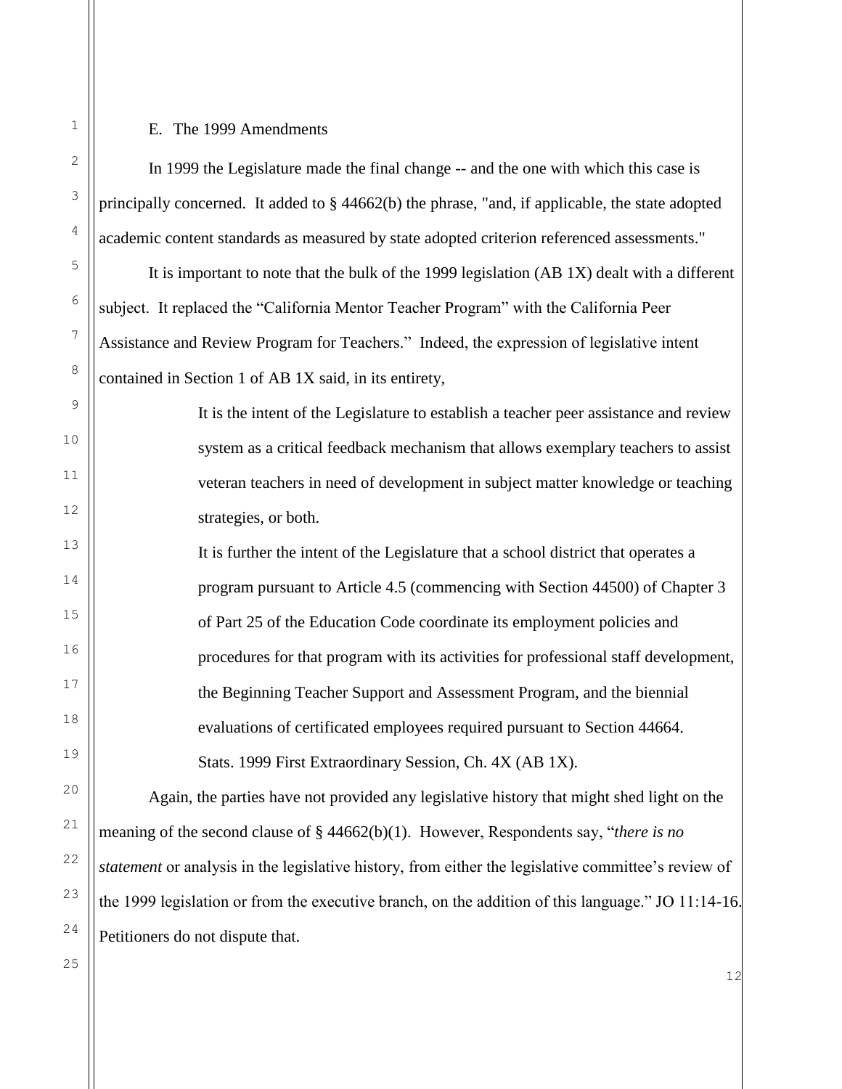## E. The 1999 Amendments

In 1999 the Legislature made the final change -- and the one with which this case is principally concerned. It added to § 44662(b) the phrase, "and, if applicable, the state adopted academic content standards as measured by state adopted criterion referenced assessments."

It is important to note that the bulk of the 1999 legislation (AB 1X) dealt with a different subject. It replaced the "California Mentor Teacher Program" with the California Peer Assistance and Review Program for Teachers." Indeed, the expression of legislative intent contained in Section 1 of AB 1X said, in its entirety,

> It is the intent of the Legislature to establish a teacher peer assistance and review system as a critical feedback mechanism that allows exemplary teachers to assist veteran teachers in need of development in subject matter knowledge or teaching strategies, or both.

It is further the intent of the Legislature that a school district that operates a program pursuant to Article 4.5 (commencing with Section 44500) of Chapter 3 of Part 25 of the Education Code coordinate its employment policies and procedures for that program with its activities for professional staff development, the Beginning Teacher Support and Assessment Program, and the biennial evaluations of certificated employees required pursuant to Section 44664. Stats. 1999 First Extraordinary Session, Ch. 4X (AB 1X).

Again, the parties have not provided any legislative history that might shed light on the meaning of the second clause of § 44662(b)(1). However, Respondents say, "*there is no statement* or analysis in the legislative history, from either the legislative committee's review of the 1999 legislation or from the executive branch, on the addition of this language." JO 11:14-16. Petitioners do not dispute that.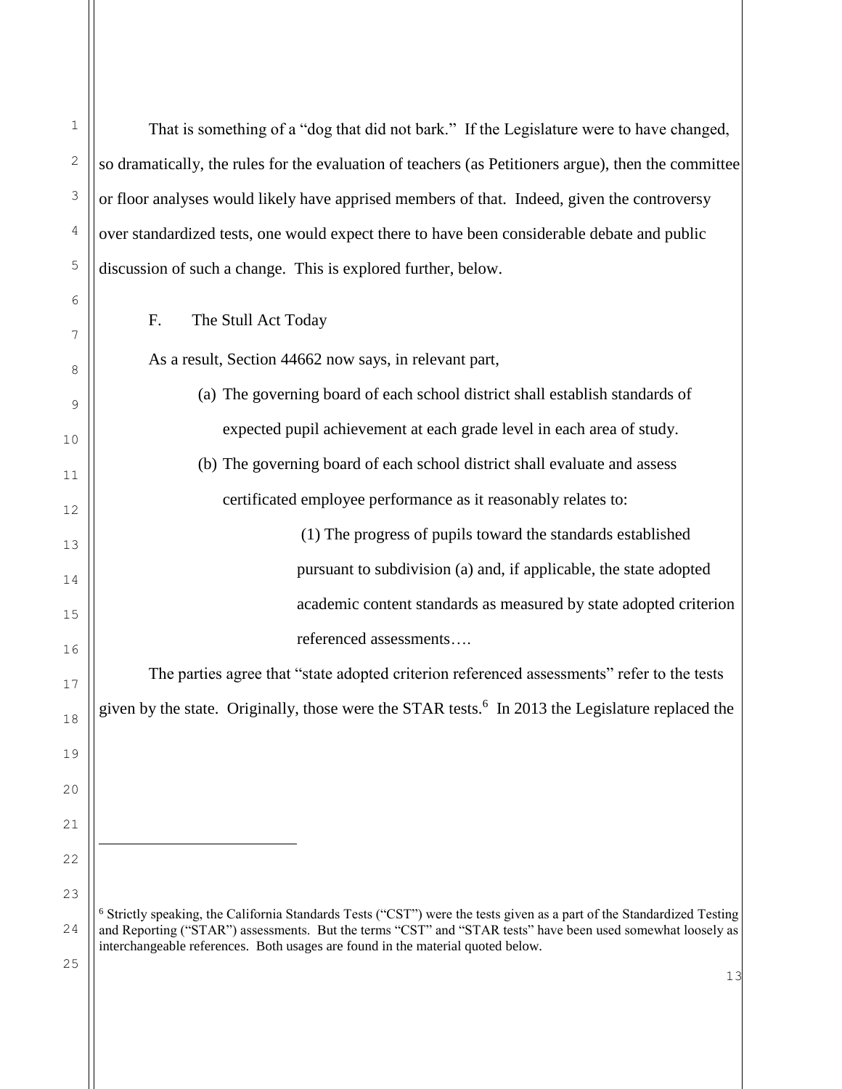13 1 2 3 4 5 6 7 8 9 10 11 12 13 14 15 16 17 18 19 20 21 22 23 24 25 That is something of a "dog that did not bark." If the Legislature were to have changed, so dramatically, the rules for the evaluation of teachers (as Petitioners argue), then the committee or floor analyses would likely have apprised members of that. Indeed, given the controversy over standardized tests, one would expect there to have been considerable debate and public discussion of such a change. This is explored further, below. F. The Stull Act Today As a result, Section 44662 now says, in relevant part, (a) The governing board of each school district shall establish standards of expected pupil achievement at each grade level in each area of study. (b) The governing board of each school district shall evaluate and assess certificated employee performance as it reasonably relates to: (1) The progress of pupils toward the standards established pursuant to subdivision (a) and, if applicable, the state adopted academic content standards as measured by state adopted criterion referenced assessments…. The parties agree that "state adopted criterion referenced assessments" refer to the tests given by the state. Originally, those were the STAR tests.<sup>6</sup> In 2013 the Legislature replaced the ÷, <sup>6</sup> Strictly speaking, the California Standards Tests ("CST") were the tests given as a part of the Standardized Testing and Reporting ("STAR") assessments. But the terms "CST" and "STAR tests" have been used somewhat loosely as interchangeable references. Both usages are found in the material quoted below.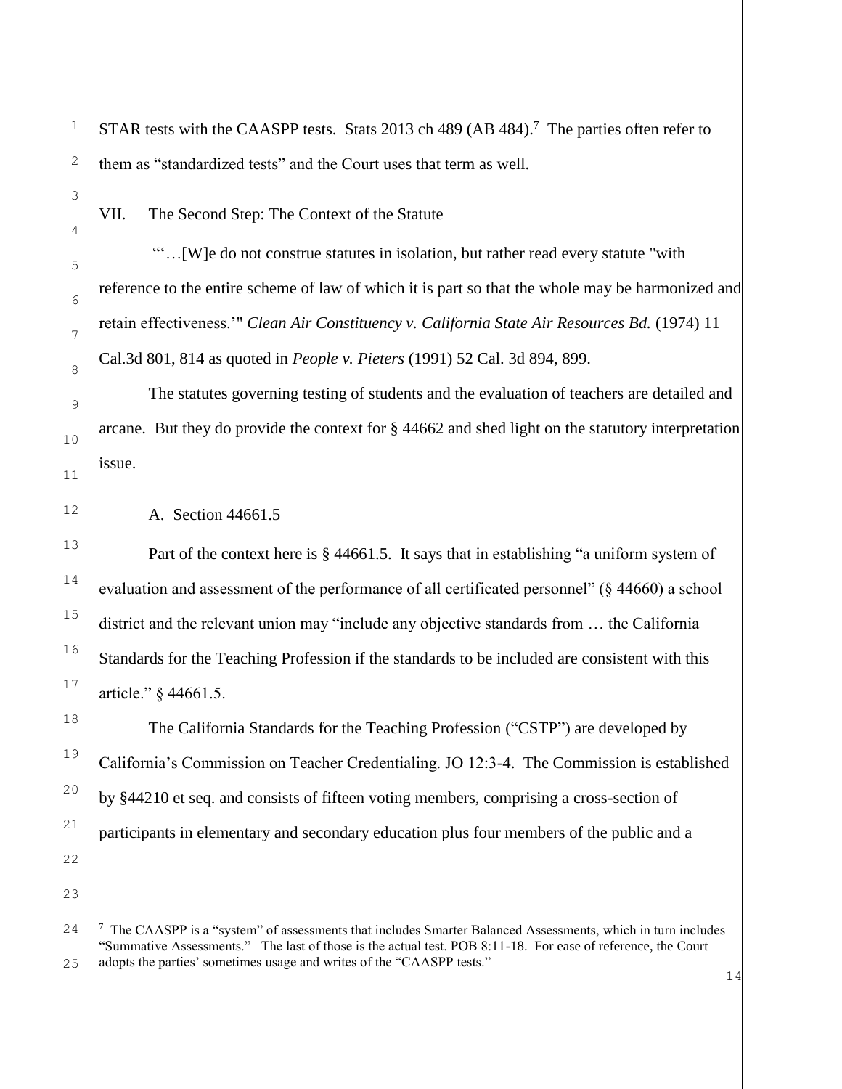STAR tests with the CAASPP tests. Stats 2013 ch 489 (AB 484).<sup>7</sup> The parties often refer to them as "standardized tests" and the Court uses that term as well.

VII. The Second Step: The Context of the Statute

"'…[W]e do not construe statutes in isolation, but rather read every statute "with reference to the entire scheme of law of which it is part so that the whole may be harmonized and retain effectiveness.'" *Clean Air Constituency v. California State Air Resources Bd.* (1974) 11 Cal.3d 801, 814 as quoted in *People v. Pieters* (1991) 52 Cal. 3d 894, 899.

The statutes governing testing of students and the evaluation of teachers are detailed and arcane. But they do provide the context for § 44662 and shed light on the statutory interpretation issue.

A. Section 44661.5

Part of the context here is § 44661.5. It says that in establishing "a uniform system of evaluation and assessment of the performance of all certificated personnel" (§ 44660) a school district and the relevant union may "include any objective standards from … the California Standards for the Teaching Profession if the standards to be included are consistent with this article." § 44661.5.

The California Standards for the Teaching Profession ("CSTP") are developed by California's Commission on Teacher Credentialing. JO 12:3-4. The Commission is established by §44210 et seq. and consists of fifteen voting members, comprising a cross-section of participants in elementary and secondary education plus four members of the public and a

ı.

<sup>&</sup>lt;sup>7</sup> The CAASPP is a "system" of assessments that includes Smarter Balanced Assessments, which in turn includes "Summative Assessments." The last of those is the actual test. POB 8:11-18. For ease of reference, the Court adopts the parties' sometimes usage and writes of the "CAASPP tests."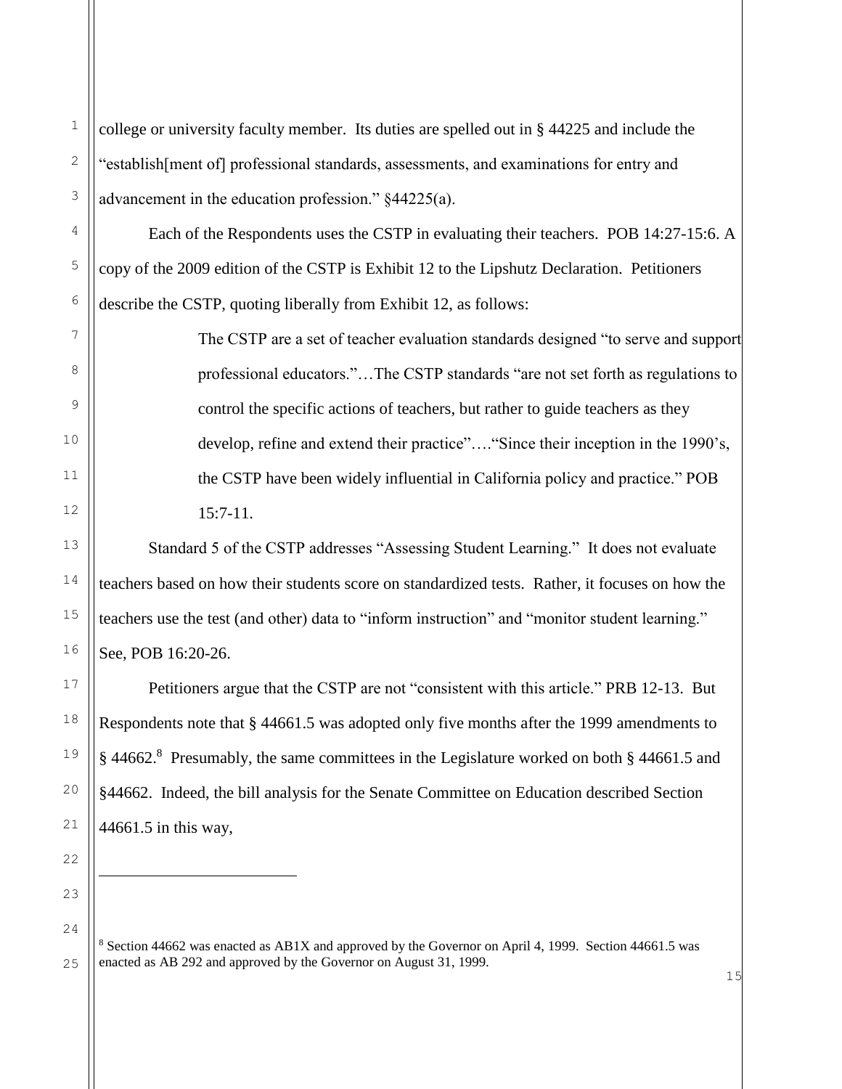college or university faculty member. Its duties are spelled out in § 44225 and include the "establish[ment of] professional standards, assessments, and examinations for entry and advancement in the education profession." §44225(a).

Each of the Respondents uses the CSTP in evaluating their teachers. POB 14:27-15:6. A copy of the 2009 edition of the CSTP is Exhibit 12 to the Lipshutz Declaration. Petitioners describe the CSTP, quoting liberally from Exhibit 12, as follows:

> The CSTP are a set of teacher evaluation standards designed "to serve and support professional educators."…The CSTP standards "are not set forth as regulations to control the specific actions of teachers, but rather to guide teachers as they develop, refine and extend their practice"…."Since their inception in the 1990's, the CSTP have been widely influential in California policy and practice." POB 15:7-11.

Standard 5 of the CSTP addresses "Assessing Student Learning." It does not evaluate teachers based on how their students score on standardized tests. Rather, it focuses on how the teachers use the test (and other) data to "inform instruction" and "monitor student learning." See, POB 16:20-26.

Petitioners argue that the CSTP are not "consistent with this article." PRB 12-13. But Respondents note that § 44661.5 was adopted only five months after the 1999 amendments to § 44662.<sup>8</sup> Presumably, the same committees in the Legislature worked on both § 44661.5 and §44662. Indeed, the bill analysis for the Senate Committee on Education described Section 44661.5 in this way,

j.

<sup>8</sup> Section 44662 was enacted as AB1X and approved by the Governor on April 4, 1999. Section 44661.5 was enacted as AB 292 and approved by the Governor on August 31, 1999.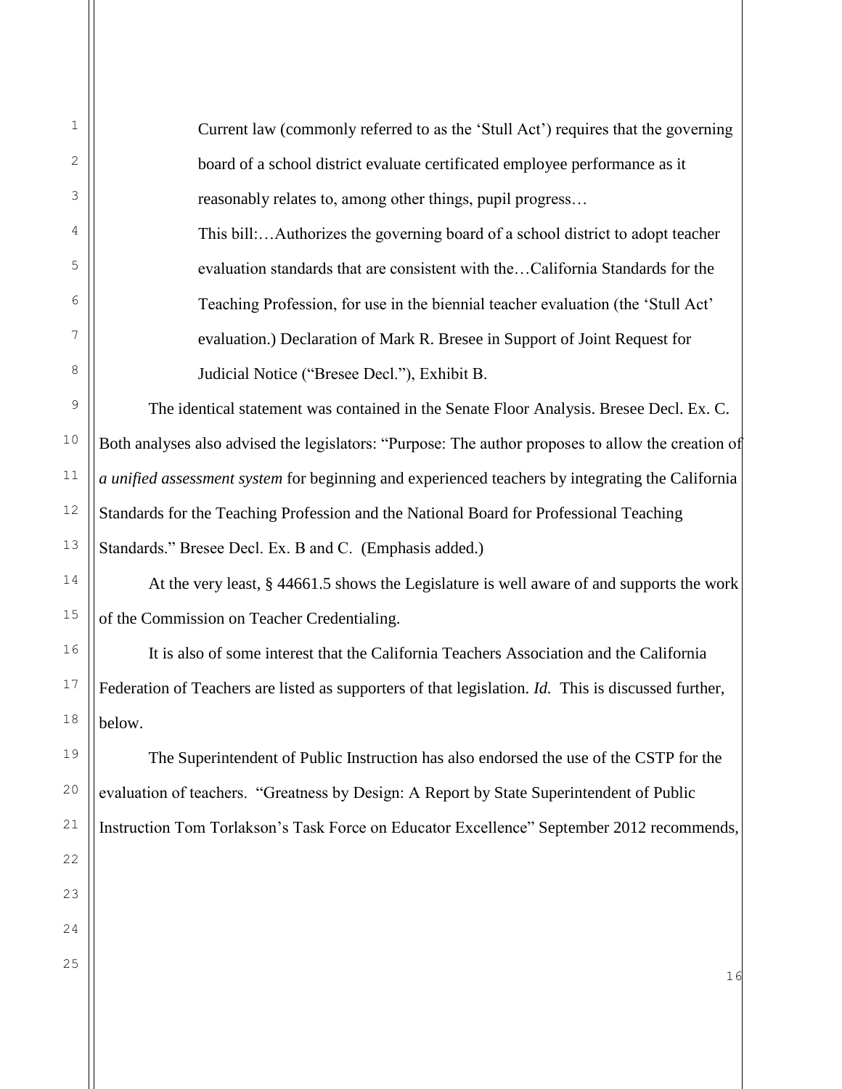Current law (commonly referred to as the 'Stull Act') requires that the governing board of a school district evaluate certificated employee performance as it reasonably relates to, among other things, pupil progress…

This bill:…Authorizes the governing board of a school district to adopt teacher evaluation standards that are consistent with the…California Standards for the Teaching Profession, for use in the biennial teacher evaluation (the 'Stull Act' evaluation.) Declaration of Mark R. Bresee in Support of Joint Request for Judicial Notice ("Bresee Decl."), Exhibit B.

The identical statement was contained in the Senate Floor Analysis. Bresee Decl. Ex. C. Both analyses also advised the legislators: "Purpose: The author proposes to allow the creation of *a unified assessment system* for beginning and experienced teachers by integrating the California Standards for the Teaching Profession and the National Board for Professional Teaching Standards." Bresee Decl. Ex. B and C. (Emphasis added.)

At the very least, § 44661.5 shows the Legislature is well aware of and supports the work of the Commission on Teacher Credentialing.

It is also of some interest that the California Teachers Association and the California Federation of Teachers are listed as supporters of that legislation. *Id.* This is discussed further, below.

The Superintendent of Public Instruction has also endorsed the use of the CSTP for the evaluation of teachers. "Greatness by Design: A Report by State Superintendent of Public Instruction Tom Torlakson's Task Force on Educator Excellence" September 2012 recommends,

1

2

3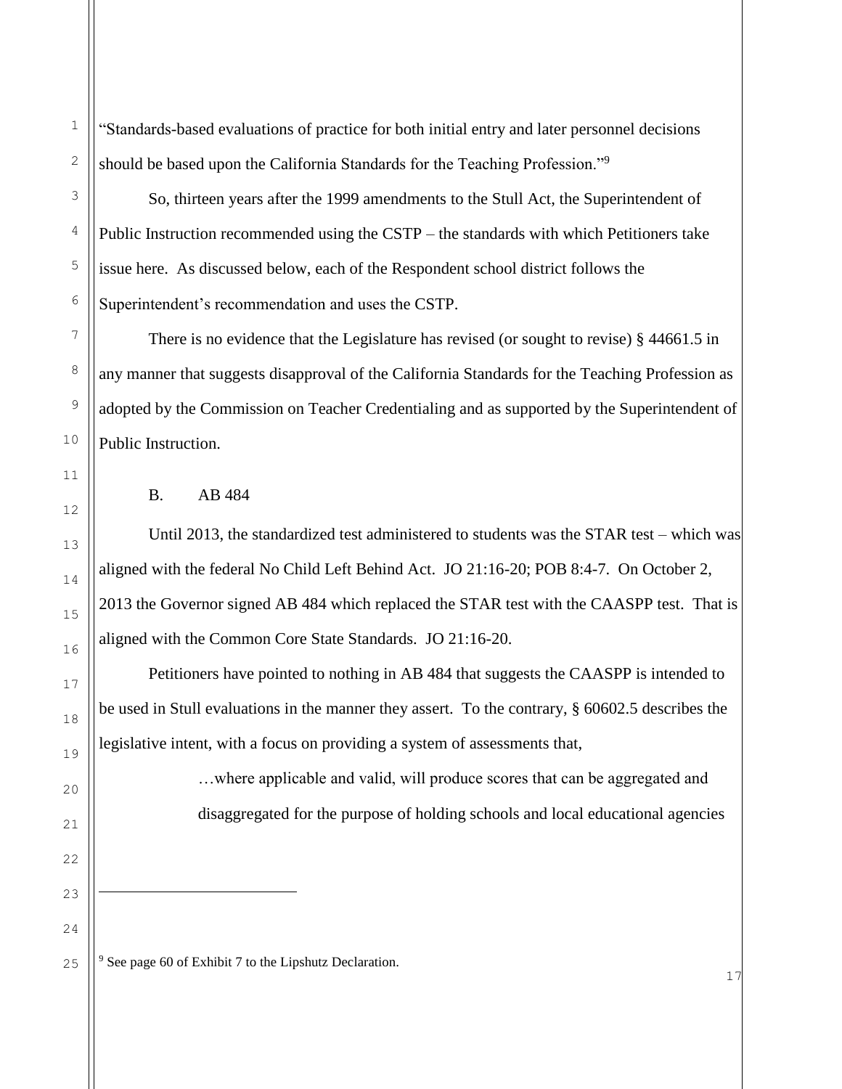"Standards-based evaluations of practice for both initial entry and later personnel decisions should be based upon the California Standards for the Teaching Profession."<sup>9</sup>

So, thirteen years after the 1999 amendments to the Stull Act, the Superintendent of Public Instruction recommended using the CSTP – the standards with which Petitioners take issue here. As discussed below, each of the Respondent school district follows the Superintendent's recommendation and uses the CSTP.

There is no evidence that the Legislature has revised (or sought to revise) § 44661.5 in any manner that suggests disapproval of the California Standards for the Teaching Profession as adopted by the Commission on Teacher Credentialing and as supported by the Superintendent of Public Instruction.

#### B. AB 484

Until 2013, the standardized test administered to students was the STAR test – which was aligned with the federal No Child Left Behind Act. JO 21:16-20; POB 8:4-7. On October 2, 2013 the Governor signed AB 484 which replaced the STAR test with the CAASPP test. That is aligned with the Common Core State Standards. JO 21:16-20.

Petitioners have pointed to nothing in AB 484 that suggests the CAASPP is intended to be used in Stull evaluations in the manner they assert. To the contrary, § 60602.5 describes the legislative intent, with a focus on providing a system of assessments that,

> …where applicable and valid, will produce scores that can be aggregated and disaggregated for the purpose of holding schools and local educational agencies

<sup>9</sup> See page 60 of Exhibit 7 to the Lipshutz Declaration.

÷,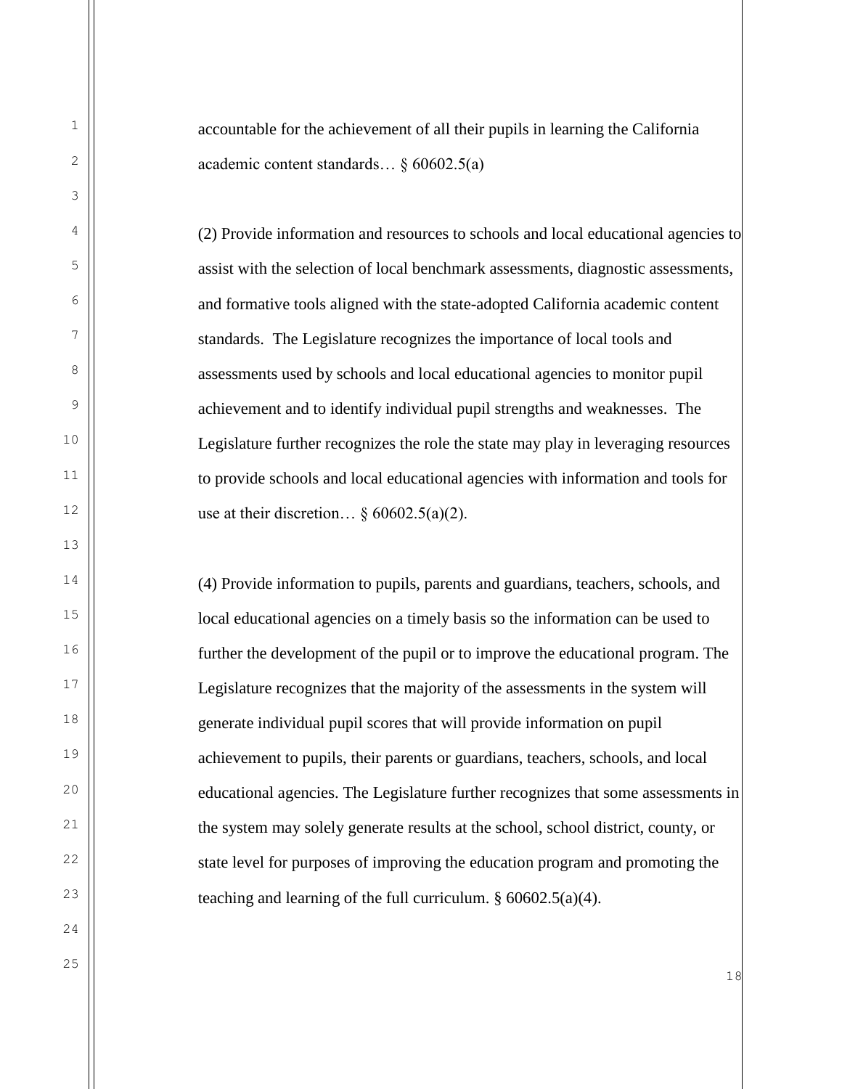accountable for the achievement of all their pupils in learning the California academic content standards… § 60602.5(a)

(2) Provide information and resources to schools and local educational agencies to assist with the selection of local benchmark assessments, diagnostic assessments, and formative tools aligned with the state-adopted California academic content standards. The Legislature recognizes the importance of local tools and assessments used by schools and local educational agencies to monitor pupil achievement and to identify individual pupil strengths and weaknesses. The Legislature further recognizes the role the state may play in leveraging resources to provide schools and local educational agencies with information and tools for use at their discretion…  $§ 60602.5(a)(2)$ .

(4) Provide information to pupils, parents and guardians, teachers, schools, and local educational agencies on a timely basis so the information can be used to further the development of the pupil or to improve the educational program. The Legislature recognizes that the majority of the assessments in the system will generate individual pupil scores that will provide information on pupil achievement to pupils, their parents or guardians, teachers, schools, and local educational agencies. The Legislature further recognizes that some assessments in the system may solely generate results at the school, school district, county, or state level for purposes of improving the education program and promoting the teaching and learning of the full curriculum.  $§ 60602.5(a)(4)$ .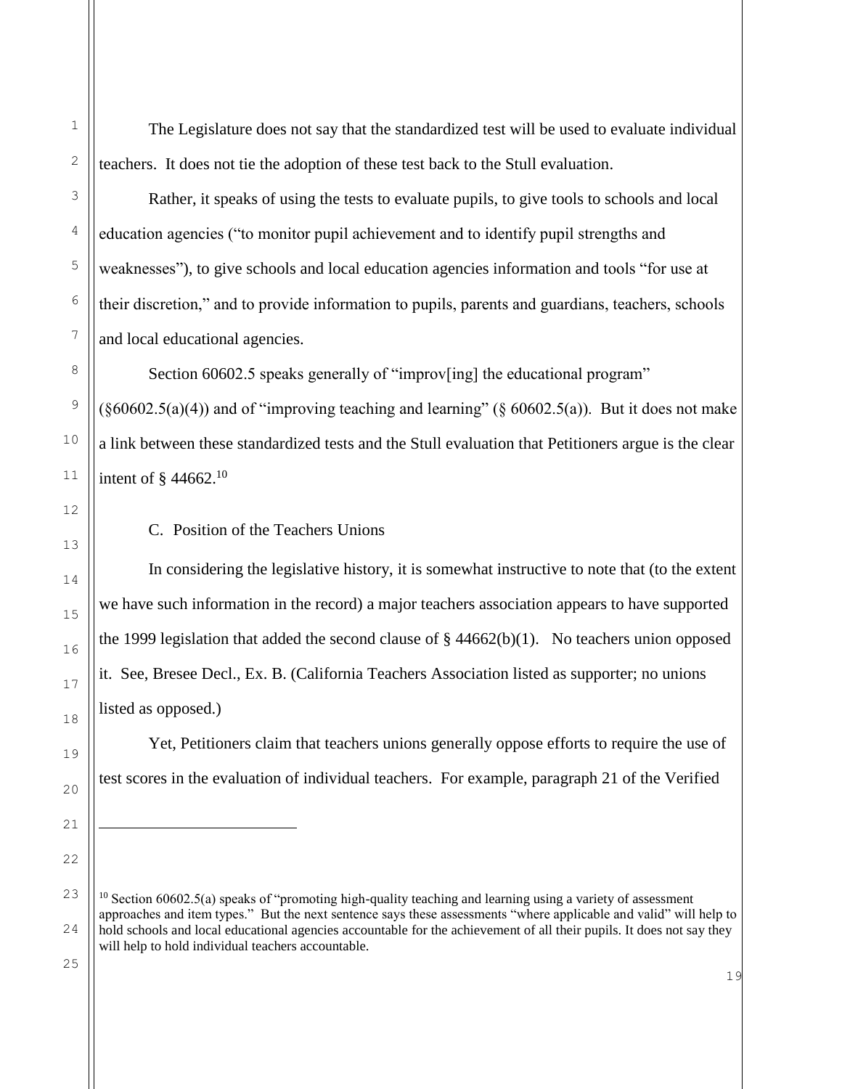The Legislature does not say that the standardized test will be used to evaluate individual teachers. It does not tie the adoption of these test back to the Stull evaluation.

Rather, it speaks of using the tests to evaluate pupils, to give tools to schools and local education agencies ("to monitor pupil achievement and to identify pupil strengths and weaknesses"), to give schools and local education agencies information and tools "for use at their discretion," and to provide information to pupils, parents and guardians, teachers, schools and local educational agencies.

Section 60602.5 speaks generally of "improversing" the educational program"  $(\S60602.5(a)(4))$  and of "improving teaching and learning" ( $\S 60602.5(a)$ ). But it does not make a link between these standardized tests and the Stull evaluation that Petitioners argue is the clear intent of § 44662.<sup>10</sup>

C. Position of the Teachers Unions

In considering the legislative history, it is somewhat instructive to note that (to the extent we have such information in the record) a major teachers association appears to have supported the 1999 legislation that added the second clause of  $\S$  44662(b)(1). No teachers union opposed it. See, Bresee Decl., Ex. B. (California Teachers Association listed as supporter; no unions listed as opposed.)

Yet, Petitioners claim that teachers unions generally oppose efforts to require the use of test scores in the evaluation of individual teachers. For example, paragraph 21 of the Verified

÷,

 $10$  Section 60602.5(a) speaks of "promoting high-quality teaching and learning using a variety of assessment approaches and item types." But the next sentence says these assessments "where applicable and valid" will help to hold schools and local educational agencies accountable for the achievement of all their pupils. It does not say they will help to hold individual teachers accountable.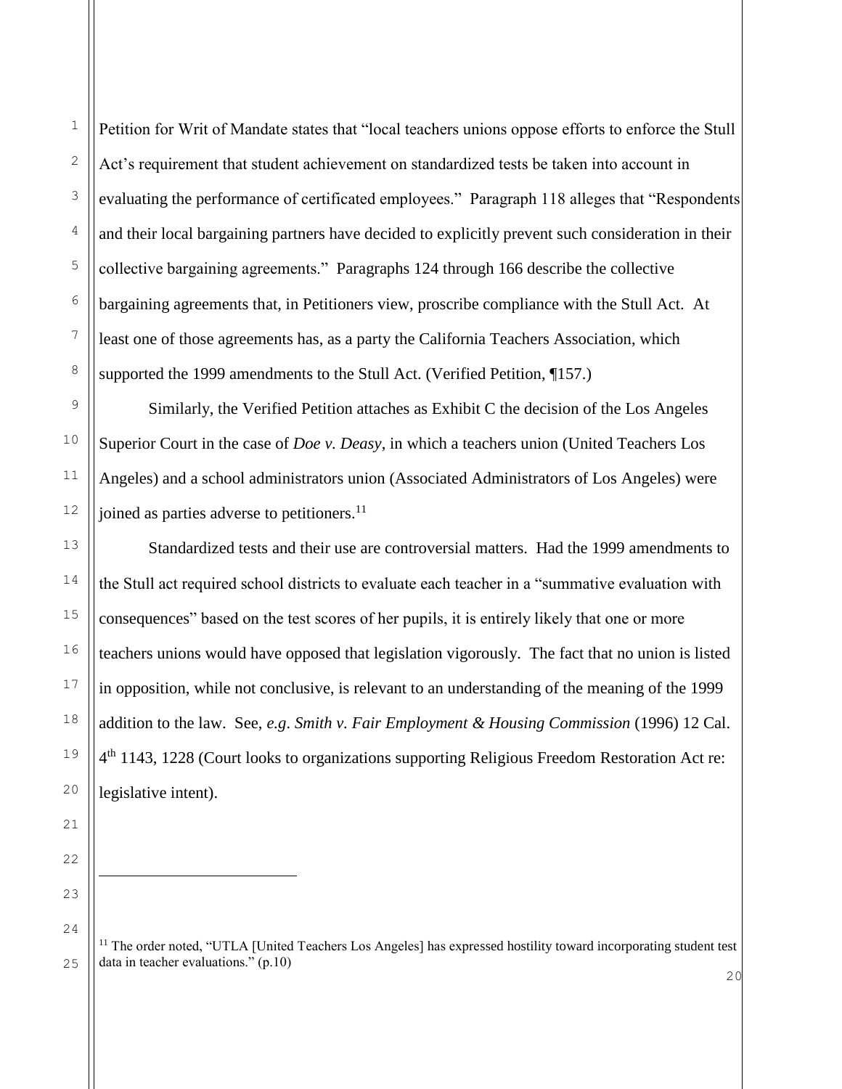1

2

3

4

Petition for Writ of Mandate states that "local teachers unions oppose efforts to enforce the Stull Act's requirement that student achievement on standardized tests be taken into account in evaluating the performance of certificated employees." Paragraph 118 alleges that "Respondents and their local bargaining partners have decided to explicitly prevent such consideration in their collective bargaining agreements." Paragraphs 124 through 166 describe the collective bargaining agreements that, in Petitioners view, proscribe compliance with the Stull Act. At least one of those agreements has, as a party the California Teachers Association, which supported the 1999 amendments to the Stull Act. (Verified Petition, ¶157.)

Similarly, the Verified Petition attaches as Exhibit C the decision of the Los Angeles Superior Court in the case of *Doe v. Deasy*, in which a teachers union (United Teachers Los Angeles) and a school administrators union (Associated Administrators of Los Angeles) were joined as parties adverse to petitioners.<sup>11</sup>

Standardized tests and their use are controversial matters. Had the 1999 amendments to the Stull act required school districts to evaluate each teacher in a "summative evaluation with consequences" based on the test scores of her pupils, it is entirely likely that one or more teachers unions would have opposed that legislation vigorously. The fact that no union is listed in opposition, while not conclusive, is relevant to an understanding of the meaning of the 1999 addition to the law. See, *e.g*. *Smith v. Fair Employment & Housing Commission* (1996) 12 Cal. 4<sup>th</sup> 1143, 1228 (Court looks to organizations supporting Religious Freedom Restoration Act re: legislative intent).

<sup>&</sup>lt;sup>11</sup> The order noted, "UTLA [United Teachers Los Angeles] has expressed hostility toward incorporating student test data in teacher evaluations." (p.10)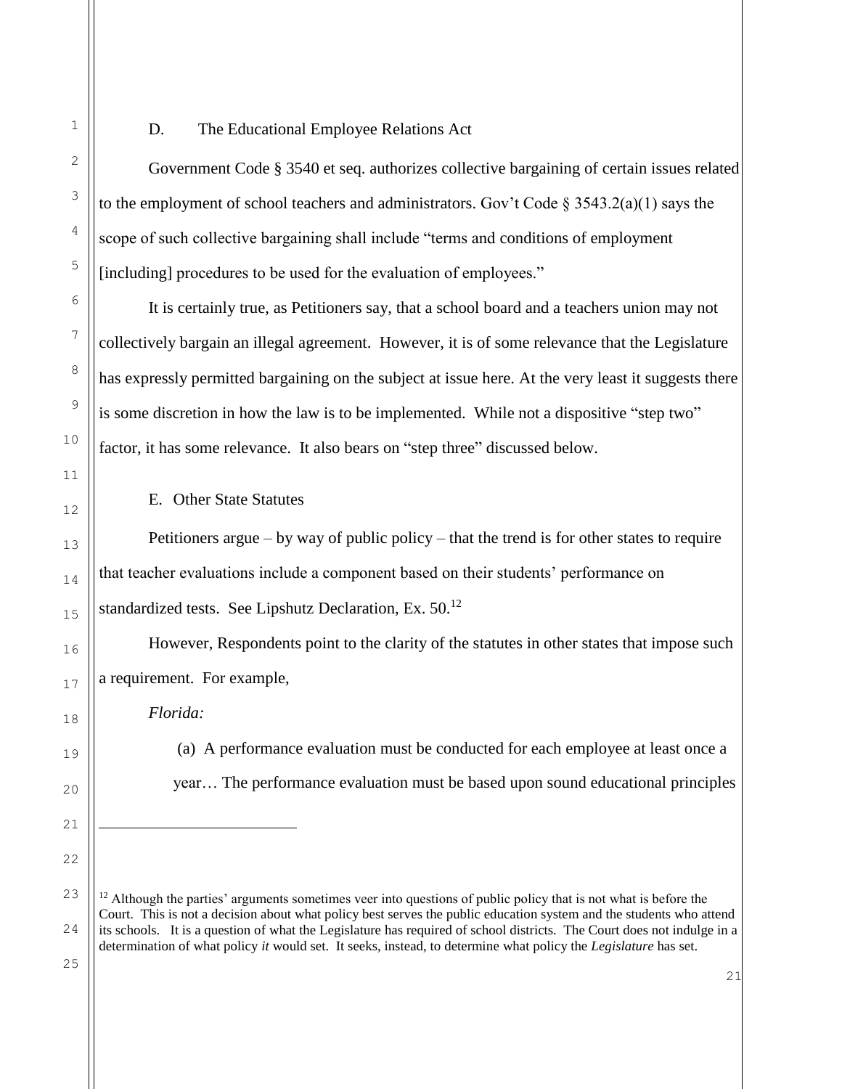D. The Educational Employee Relations Act

Government Code § 3540 et seq. authorizes collective bargaining of certain issues related to the employment of school teachers and administrators. Gov't Code  $\S 3543.2(a)(1)$  says the scope of such collective bargaining shall include "terms and conditions of employment [including] procedures to be used for the evaluation of employees."

It is certainly true, as Petitioners say, that a school board and a teachers union may not collectively bargain an illegal agreement. However, it is of some relevance that the Legislature has expressly permitted bargaining on the subject at issue here. At the very least it suggests there is some discretion in how the law is to be implemented. While not a dispositive "step two" factor, it has some relevance. It also bears on "step three" discussed below.

E. Other State Statutes

Petitioners argue – by way of public policy – that the trend is for other states to require that teacher evaluations include a component based on their students' performance on standardized tests. See Lipshutz Declaration, Ex.  $50^{12}$ 

However, Respondents point to the clarity of the statutes in other states that impose such a requirement. For example,

*Florida:*

(a) A performance evaluation must be conducted for each employee at least once a year… The performance evaluation must be based upon sound educational principles

21

25

1

2

3

4

5

6

7

8

9

10

11

12

13

14

15

16

17

18

19

20

21

÷,

<sup>23</sup> 24  $12$  Although the parties' arguments sometimes veer into questions of public policy that is not what is before the Court. This is not a decision about what policy best serves the public education system and the students who attend its schools. It is a question of what the Legislature has required of school districts. The Court does not indulge in a determination of what policy *it* would set. It seeks, instead, to determine what policy the *Legislature* has set.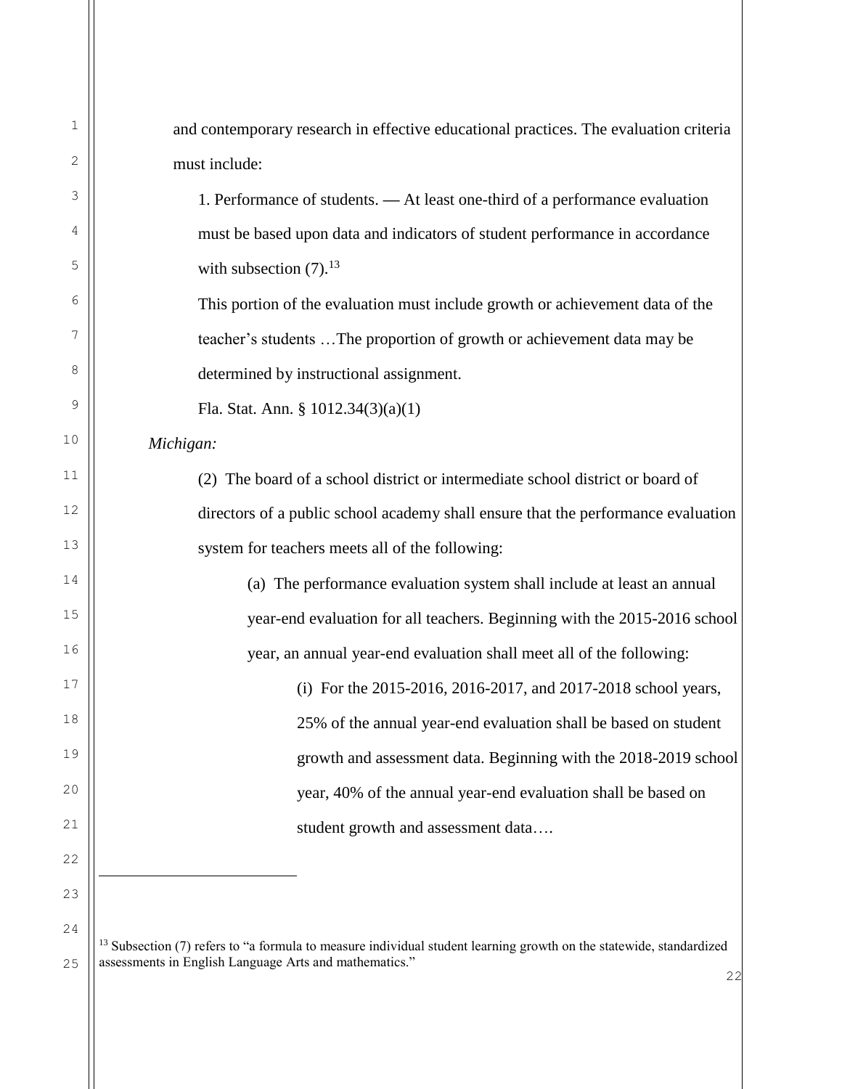| 1  | and contemporary research in effective educational practices. The evaluation criteria                                          |
|----|--------------------------------------------------------------------------------------------------------------------------------|
| 2  | must include:                                                                                                                  |
| 3  | 1. Performance of students. - At least one-third of a performance evaluation                                                   |
| 4  | must be based upon data and indicators of student performance in accordance                                                    |
| 5  | with subsection $(7).^{13}$                                                                                                    |
| 6  | This portion of the evaluation must include growth or achievement data of the                                                  |
| 7  | teacher's students The proportion of growth or achievement data may be                                                         |
| 8  | determined by instructional assignment.                                                                                        |
| 9  | Fla. Stat. Ann. § $1012.34(3)(a)(1)$                                                                                           |
| 10 | Michigan:                                                                                                                      |
| 11 | (2) The board of a school district or intermediate school district or board of                                                 |
| 12 | directors of a public school academy shall ensure that the performance evaluation                                              |
| 13 | system for teachers meets all of the following:                                                                                |
| 14 | (a) The performance evaluation system shall include at least an annual                                                         |
| 15 | year-end evaluation for all teachers. Beginning with the 2015-2016 school                                                      |
| 16 | year, an annual year-end evaluation shall meet all of the following:                                                           |
| 17 | (i) For the 2015-2016, 2016-2017, and 2017-2018 school years,                                                                  |
| 18 | 25% of the annual year-end evaluation shall be based on student                                                                |
| 19 | growth and assessment data. Beginning with the 2018-2019 school                                                                |
| 20 | year, 40% of the annual year-end evaluation shall be based on                                                                  |
| 21 | student growth and assessment data                                                                                             |
| 22 |                                                                                                                                |
| 23 |                                                                                                                                |
| 24 | <sup>13</sup> Subsection (7) refers to "a formula to measure individual student learning growth on the statewide, standardized |

25 assessments in English Language Arts and mathematics."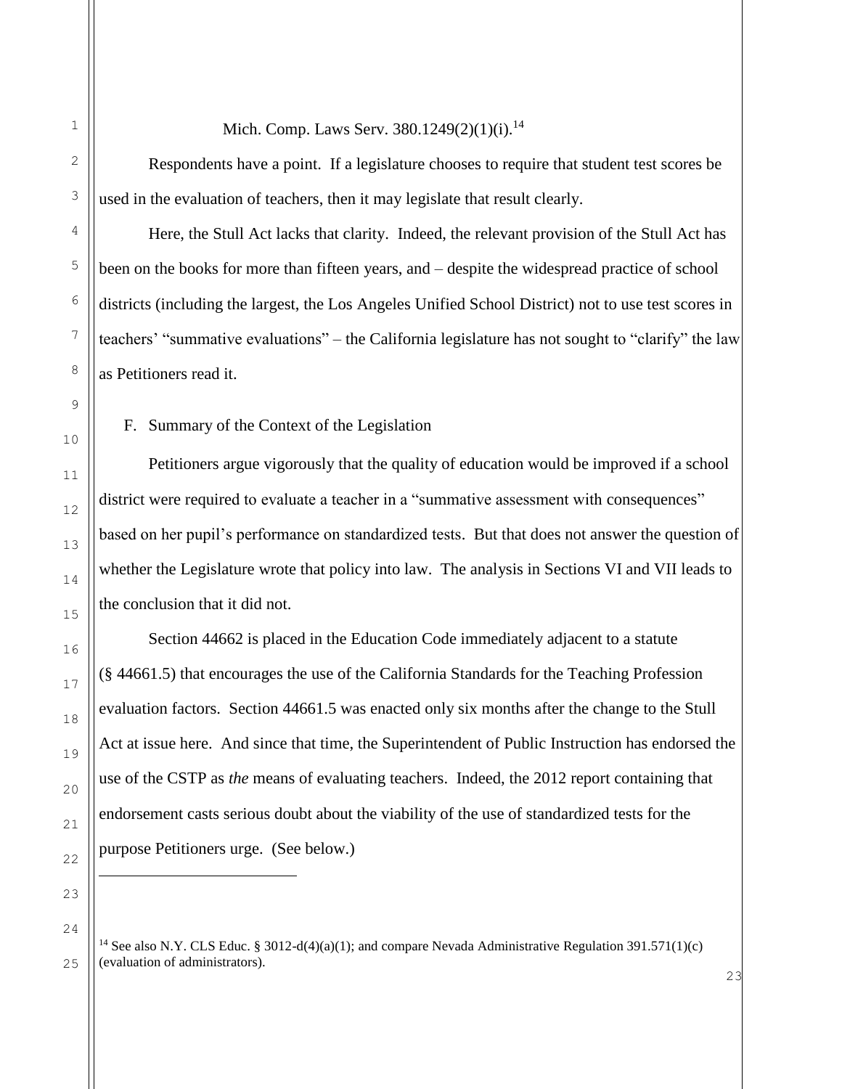## Mich. Comp. Laws Serv. 380.1249(2)(1)(i).<sup>14</sup>

Respondents have a point. If a legislature chooses to require that student test scores be used in the evaluation of teachers, then it may legislate that result clearly.

Here, the Stull Act lacks that clarity. Indeed, the relevant provision of the Stull Act has been on the books for more than fifteen years, and – despite the widespread practice of school districts (including the largest, the Los Angeles Unified School District) not to use test scores in teachers' "summative evaluations" – the California legislature has not sought to "clarify" the law as Petitioners read it.

F. Summary of the Context of the Legislation

Petitioners argue vigorously that the quality of education would be improved if a school district were required to evaluate a teacher in a "summative assessment with consequences" based on her pupil's performance on standardized tests. But that does not answer the question of whether the Legislature wrote that policy into law. The analysis in Sections VI and VII leads to the conclusion that it did not.

Section 44662 is placed in the Education Code immediately adjacent to a statute (§ 44661.5) that encourages the use of the California Standards for the Teaching Profession evaluation factors. Section 44661.5 was enacted only six months after the change to the Stull Act at issue here. And since that time, the Superintendent of Public Instruction has endorsed the use of the CSTP as *the* means of evaluating teachers. Indeed, the 2012 report containing that endorsement casts serious doubt about the viability of the use of standardized tests for the purpose Petitioners urge. (See below.)

j.

<sup>&</sup>lt;sup>14</sup> See also N.Y. CLS Educ. § 3012-d(4)(a)(1); and compare Nevada Administrative Regulation 391.571(1)(c) (evaluation of administrators).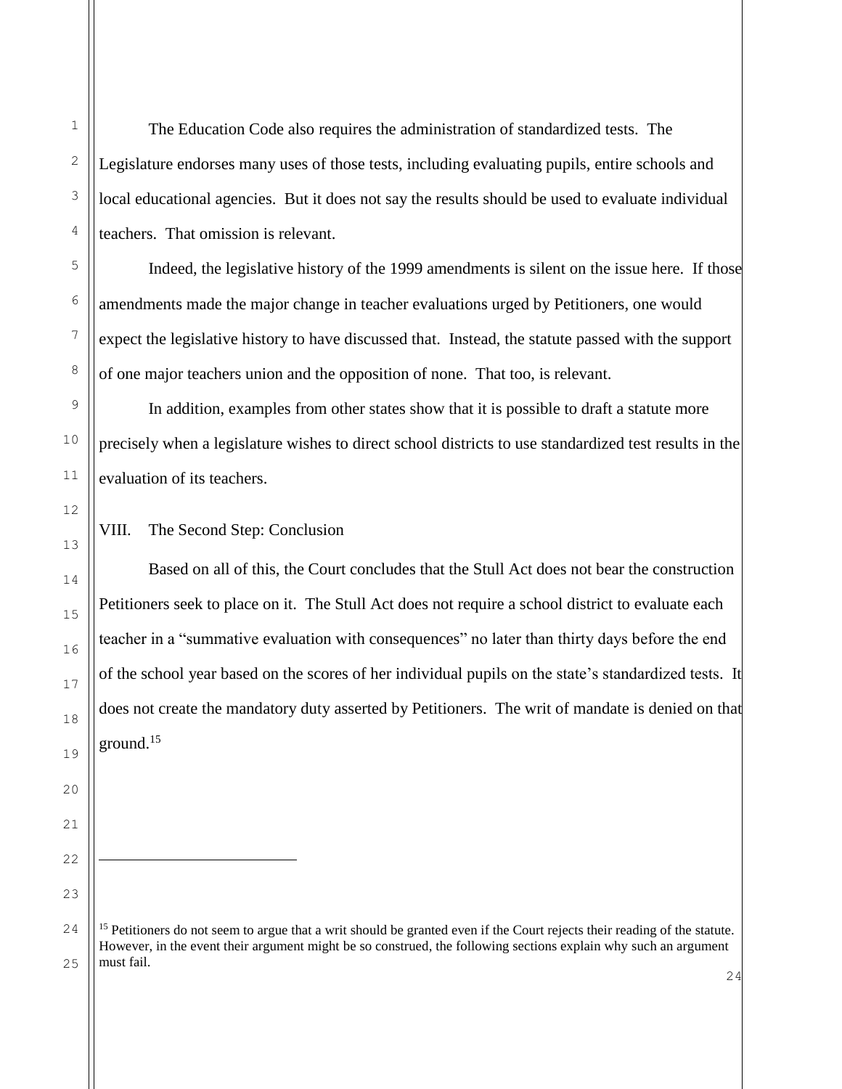ı.

The Education Code also requires the administration of standardized tests. The Legislature endorses many uses of those tests, including evaluating pupils, entire schools and local educational agencies. But it does not say the results should be used to evaluate individual teachers. That omission is relevant.

Indeed, the legislative history of the 1999 amendments is silent on the issue here. If those amendments made the major change in teacher evaluations urged by Petitioners, one would expect the legislative history to have discussed that. Instead, the statute passed with the support of one major teachers union and the opposition of none. That too, is relevant.

In addition, examples from other states show that it is possible to draft a statute more precisely when a legislature wishes to direct school districts to use standardized test results in the evaluation of its teachers.

# VIII. The Second Step: Conclusion

Based on all of this, the Court concludes that the Stull Act does not bear the construction Petitioners seek to place on it. The Stull Act does not require a school district to evaluate each teacher in a "summative evaluation with consequences" no later than thirty days before the end of the school year based on the scores of her individual pupils on the state's standardized tests. It does not create the mandatory duty asserted by Petitioners. The writ of mandate is denied on that ground.<sup>15</sup>

<sup>&</sup>lt;sup>15</sup> Petitioners do not seem to argue that a writ should be granted even if the Court rejects their reading of the statute. However, in the event their argument might be so construed, the following sections explain why such an argument must fail.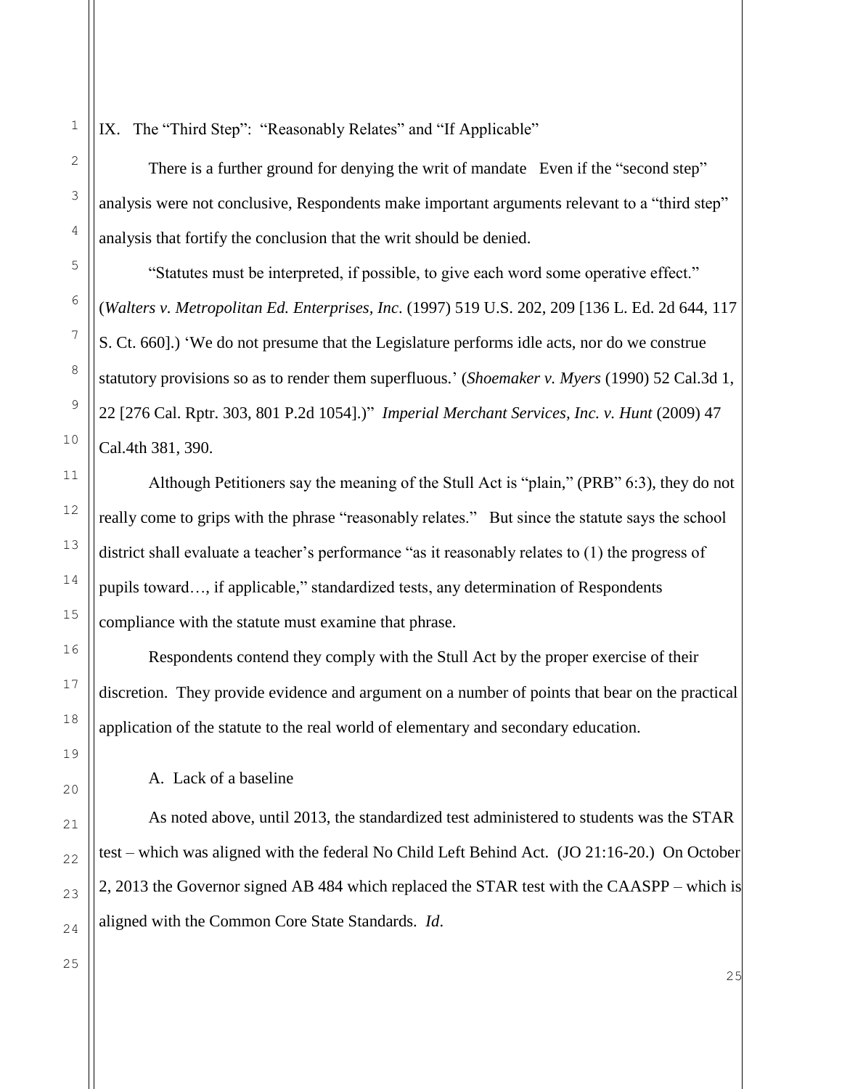IX. The "Third Step": "Reasonably Relates" and "If Applicable"

There is a further ground for denying the writ of mandate Even if the "second step" analysis were not conclusive, Respondents make important arguments relevant to a "third step" analysis that fortify the conclusion that the writ should be denied.

"Statutes must be interpreted, if possible, to give each word some operative effect." (*Walters v. Metropolitan Ed. Enterprises, Inc*. (1997) 519 U.S. 202, 209 [136 L. Ed. 2d 644, 117 S. Ct. 660].) 'We do not presume that the Legislature performs idle acts, nor do we construe statutory provisions so as to render them superfluous.' (*Shoemaker v. Myers* (1990) 52 Cal.3d 1, 22 [276 Cal. Rptr. 303, 801 P.2d 1054].)" *Imperial Merchant Services, Inc. v. Hunt* (2009) 47 Cal.4th 381, 390.

Although Petitioners say the meaning of the Stull Act is "plain," (PRB" 6:3), they do not really come to grips with the phrase "reasonably relates." But since the statute says the school district shall evaluate a teacher's performance "as it reasonably relates to (1) the progress of pupils toward…, if applicable," standardized tests, any determination of Respondents compliance with the statute must examine that phrase.

Respondents contend they comply with the Stull Act by the proper exercise of their discretion. They provide evidence and argument on a number of points that bear on the practical application of the statute to the real world of elementary and secondary education.

A. Lack of a baseline

As noted above, until 2013, the standardized test administered to students was the STAR test – which was aligned with the federal No Child Left Behind Act. (JO 21:16-20.) On October 2, 2013 the Governor signed AB 484 which replaced the STAR test with the CAASPP – which is aligned with the Common Core State Standards. *Id*.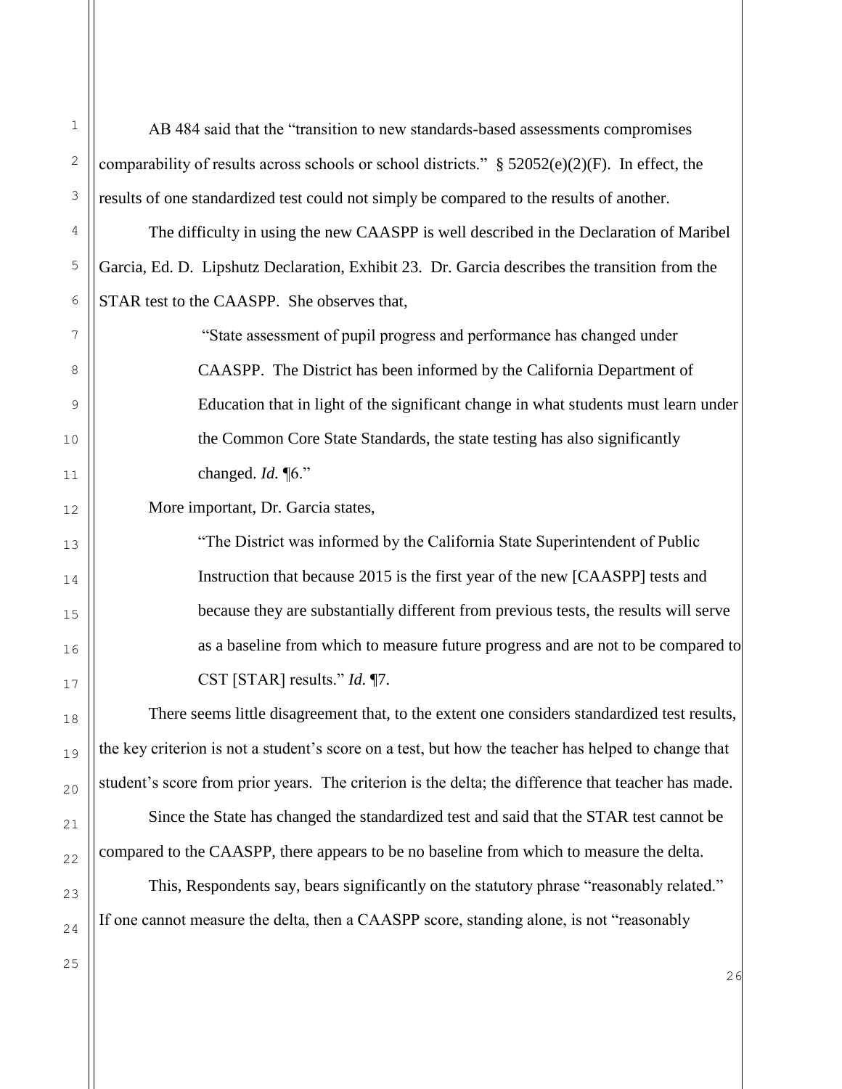| $\mathbf 1$ | AB 484 said that the "transition to new standards-based assessments compromises                     |
|-------------|-----------------------------------------------------------------------------------------------------|
| $\sqrt{2}$  | comparability of results across schools or school districts." $\S$ 52052(e)(2)(F). In effect, the   |
| 3           | results of one standardized test could not simply be compared to the results of another.            |
| 4           | The difficulty in using the new CAASPP is well described in the Declaration of Maribel              |
| $\mathsf S$ | Garcia, Ed. D. Lipshutz Declaration, Exhibit 23. Dr. Garcia describes the transition from the       |
| 6           | STAR test to the CAASPP. She observes that,                                                         |
| 7           | "State assessment of pupil progress and performance has changed under                               |
| 8           | CAASPP. The District has been informed by the California Department of                              |
| 9           | Education that in light of the significant change in what students must learn under                 |
| 10          | the Common Core State Standards, the state testing has also significantly                           |
| 11          | changed. $Id. \P6$ ."                                                                               |
| 12          | More important, Dr. Garcia states,                                                                  |
| 13          | "The District was informed by the California State Superintendent of Public                         |
| 14          | Instruction that because 2015 is the first year of the new [CAASPP] tests and                       |
| 15          | because they are substantially different from previous tests, the results will serve                |
| 16          | as a baseline from which to measure future progress and are not to be compared to                   |
| $17$        | CST [STAR] results." $Id. \P$ 7.                                                                    |
| 18          | There seems little disagreement that, to the extent one considers standardized test results,        |
| 19          | the key criterion is not a student's score on a test, but how the teacher has helped to change that |
| 20          | student's score from prior years. The criterion is the delta; the difference that teacher has made. |
| 21          | Since the State has changed the standardized test and said that the STAR test cannot be             |
| 22          | compared to the CAASPP, there appears to be no baseline from which to measure the delta.            |
| 23          | This, Respondents say, bears significantly on the statutory phrase "reasonably related."            |
| 24          | If one cannot measure the delta, then a CAASPP score, standing alone, is not "reasonably            |
| 25          | 26                                                                                                  |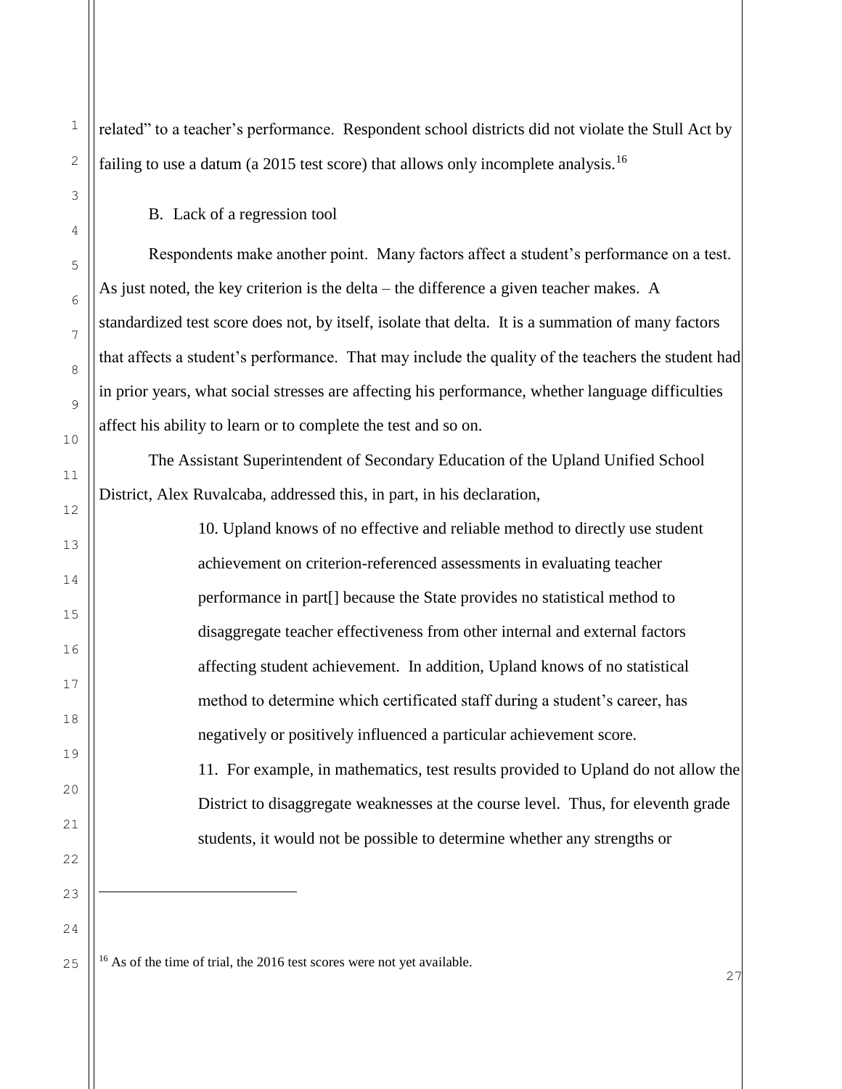related" to a teacher's performance. Respondent school districts did not violate the Stull Act by failing to use a datum (a 2015 test score) that allows only incomplete analysis.<sup>16</sup>

B. Lack of a regression tool

Respondents make another point. Many factors affect a student's performance on a test. As just noted, the key criterion is the delta – the difference a given teacher makes. A standardized test score does not, by itself, isolate that delta. It is a summation of many factors that affects a student's performance. That may include the quality of the teachers the student had in prior years, what social stresses are affecting his performance, whether language difficulties affect his ability to learn or to complete the test and so on.

The Assistant Superintendent of Secondary Education of the Upland Unified School District, Alex Ruvalcaba, addressed this, in part, in his declaration,

> 10. Upland knows of no effective and reliable method to directly use student achievement on criterion-referenced assessments in evaluating teacher performance in part[] because the State provides no statistical method to disaggregate teacher effectiveness from other internal and external factors affecting student achievement. In addition, Upland knows of no statistical method to determine which certificated staff during a student's career, has negatively or positively influenced a particular achievement score. 11. For example, in mathematics, test results provided to Upland do not allow the District to disaggregate weaknesses at the course level. Thus, for eleventh grade

students, it would not be possible to determine whether any strengths or

<sup>16</sup> As of the time of trial, the 2016 test scores were not yet available.

÷,

1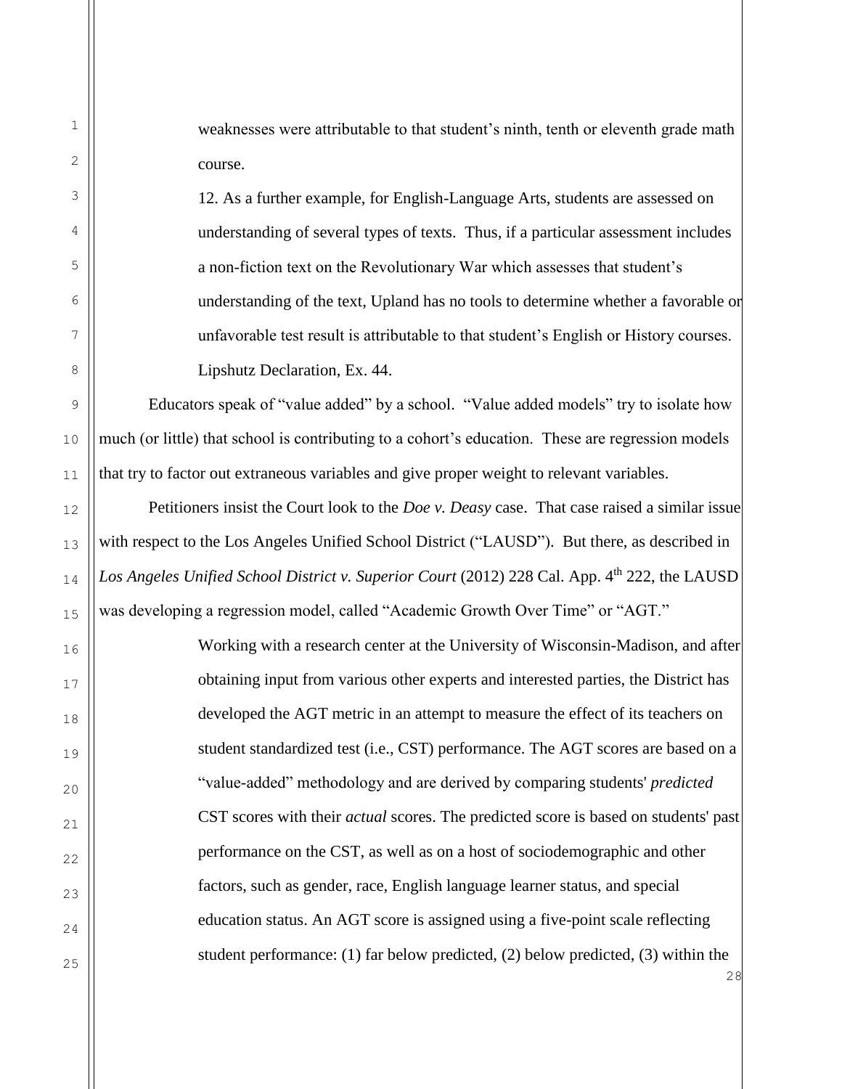weaknesses were attributable to that student's ninth, tenth or eleventh grade math course.

12. As a further example, for English-Language Arts, students are assessed on understanding of several types of texts. Thus, if a particular assessment includes a non-fiction text on the Revolutionary War which assesses that student's understanding of the text, Upland has no tools to determine whether a favorable or unfavorable test result is attributable to that student's English or History courses. Lipshutz Declaration, Ex. 44.

Educators speak of "value added" by a school. "Value added models" try to isolate how much (or little) that school is contributing to a cohort's education. These are regression models that try to factor out extraneous variables and give proper weight to relevant variables.

Petitioners insist the Court look to the *Doe v. Deasy* case. That case raised a similar issue with respect to the Los Angeles Unified School District ("LAUSD"). But there, as described in Los Angeles Unified School District v. Superior Court (2012) 228 Cal. App. 4<sup>th</sup> 222, the LAUSD was developing a regression model, called "Academic Growth Over Time" or "AGT."

> Working with a research center at the University of Wisconsin-Madison, and after obtaining input from various other experts and interested parties, the District has developed the AGT metric in an attempt to measure the effect of its teachers on student standardized test (i.e., CST) performance. The AGT scores are based on a "value-added" methodology and are derived by comparing students' *predicted* CST scores with their *actual* scores. The predicted score is based on students' past performance on the CST, as well as on a host of sociodemographic and other factors, such as gender, race, English language learner status, and special education status. An AGT score is assigned using a five-point scale reflecting student performance: (1) far below predicted, (2) below predicted, (3) within the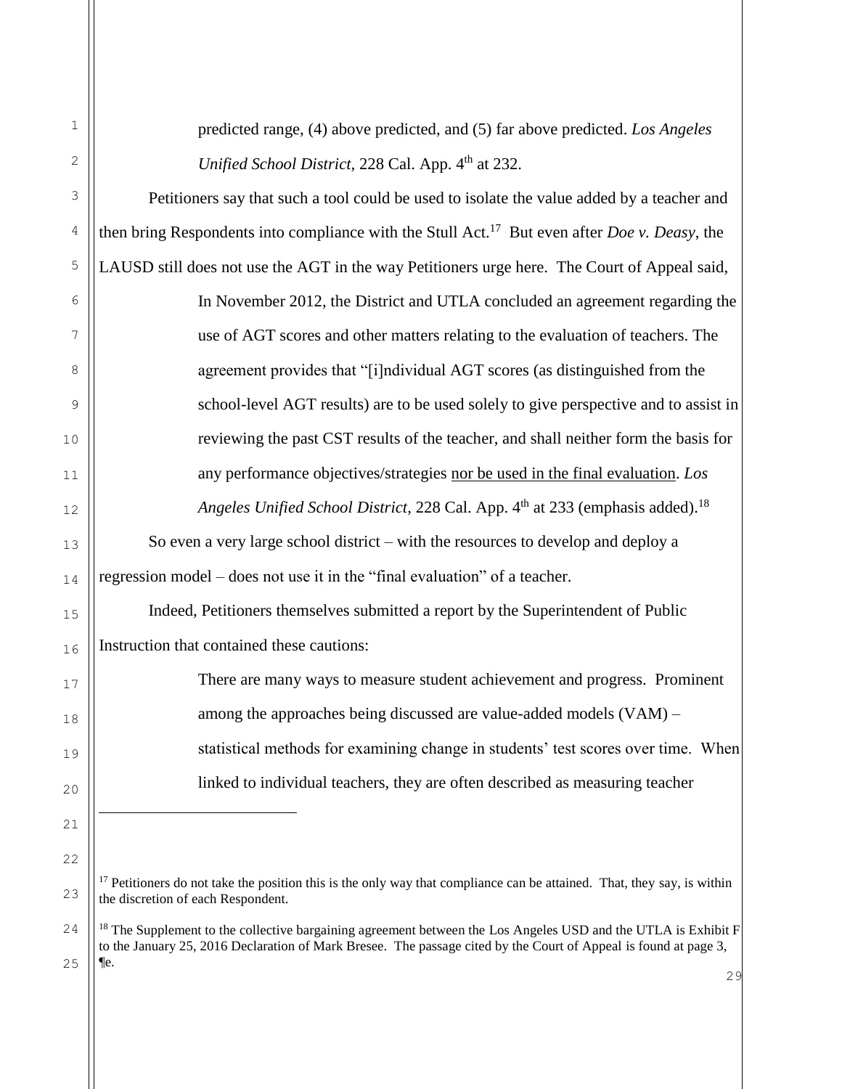| 1  | predicted range, (4) above predicted, and (5) far above predicted. Los Angeles                                                                                           |
|----|--------------------------------------------------------------------------------------------------------------------------------------------------------------------------|
| 2  | Unified School District, 228 Cal. App. 4th at 232.                                                                                                                       |
| 3  | Petitioners say that such a tool could be used to isolate the value added by a teacher and                                                                               |
| 4  | then bring Respondents into compliance with the Stull Act. <sup>17</sup> But even after <i>Doe v. Deasy</i> , the                                                        |
| 5  | LAUSD still does not use the AGT in the way Petitioners urge here. The Court of Appeal said,                                                                             |
| 6  | In November 2012, the District and UTLA concluded an agreement regarding the                                                                                             |
| 7  | use of AGT scores and other matters relating to the evaluation of teachers. The                                                                                          |
| 8  | agreement provides that "[i]ndividual AGT scores (as distinguished from the                                                                                              |
| 9  | school-level AGT results) are to be used solely to give perspective and to assist in                                                                                     |
| 10 | reviewing the past CST results of the teacher, and shall neither form the basis for                                                                                      |
| 11 | any performance objectives/strategies nor be used in the final evaluation. Los                                                                                           |
| 12 | Angeles Unified School District, 228 Cal. App. 4 <sup>th</sup> at 233 (emphasis added). <sup>18</sup>                                                                    |
| 13 | So even a very large school district – with the resources to develop and deploy a                                                                                        |
| 14 | regression model – does not use it in the "final evaluation" of a teacher.                                                                                               |
| 15 | Indeed, Petitioners themselves submitted a report by the Superintendent of Public                                                                                        |
| 16 | Instruction that contained these cautions:                                                                                                                               |
| 17 | There are many ways to measure student achievement and progress. Prominent                                                                                               |
| 18 | among the approaches being discussed are value-added models (VAM) –                                                                                                      |
| 19 | statistical methods for examining change in students' test scores over time. When                                                                                        |
| 20 | linked to individual teachers, they are often described as measuring teacher                                                                                             |
| 21 |                                                                                                                                                                          |
| 22 |                                                                                                                                                                          |
| 23 | <sup>17</sup> Petitioners do not take the position this is the only way that compliance can be attained. That, they say, is within<br>the discretion of each Respondent. |

29 <sup>18</sup> The Supplement to the collective bargaining agreement between the Los Angeles USD and the UTLA is Exhibit  $F$ to the January 25, 2016 Declaration of Mark Bresee. The passage cited by the Court of Appeal is found at page 3, ¶e.

24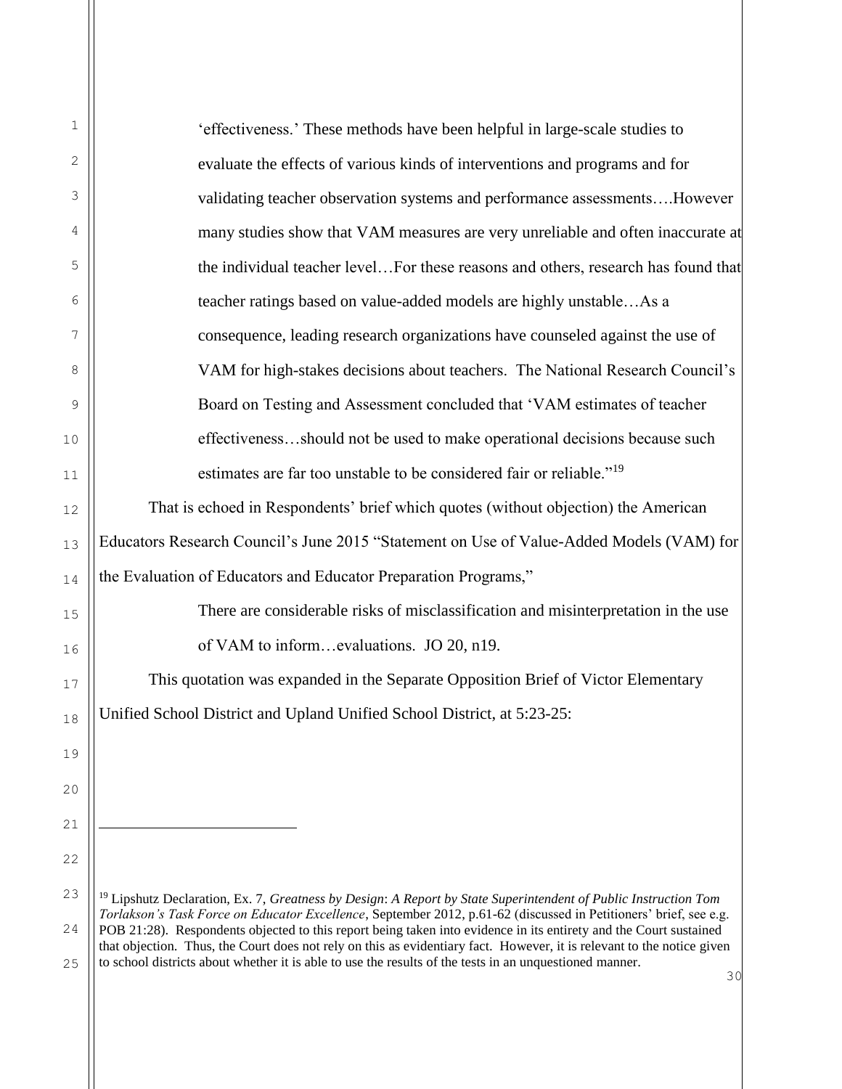| $\mathbf{1}$ | 'effectiveness.' These methods have been helpful in large-scale studies to                                                                                                                                                              |
|--------------|-----------------------------------------------------------------------------------------------------------------------------------------------------------------------------------------------------------------------------------------|
| 2            | evaluate the effects of various kinds of interventions and programs and for                                                                                                                                                             |
| 3            | validating teacher observation systems and performance assessmentsHowever                                                                                                                                                               |
| 4            | many studies show that VAM measures are very unreliable and often inaccurate at                                                                                                                                                         |
| 5            | the individual teacher levelFor these reasons and others, research has found that                                                                                                                                                       |
| 6            | teacher ratings based on value-added models are highly unstableAs a                                                                                                                                                                     |
| 7            | consequence, leading research organizations have counseled against the use of                                                                                                                                                           |
| 8            | VAM for high-stakes decisions about teachers. The National Research Council's                                                                                                                                                           |
| 9            | Board on Testing and Assessment concluded that 'VAM estimates of teacher                                                                                                                                                                |
| 10           | effectivenessshould not be used to make operational decisions because such                                                                                                                                                              |
| 11           | estimates are far too unstable to be considered fair or reliable." <sup>19</sup>                                                                                                                                                        |
| 12           | That is echoed in Respondents' brief which quotes (without objection) the American                                                                                                                                                      |
| 13           | Educators Research Council's June 2015 "Statement on Use of Value-Added Models (VAM) for                                                                                                                                                |
| 14           | the Evaluation of Educators and Educator Preparation Programs,"                                                                                                                                                                         |
| 15           | There are considerable risks of misclassification and misinterpretation in the use                                                                                                                                                      |
| 16           | of VAM to informevaluations. JO 20, n19.                                                                                                                                                                                                |
| 17           | This quotation was expanded in the Separate Opposition Brief of Victor Elementary                                                                                                                                                       |
| 18           | Unified School District and Upland Unified School District. at 5:23-25:                                                                                                                                                                 |
| 19           |                                                                                                                                                                                                                                         |
| 20           |                                                                                                                                                                                                                                         |
| 21           |                                                                                                                                                                                                                                         |
| 22           |                                                                                                                                                                                                                                         |
| 23           | $19$ Lipshutz Declaration, Ex. 7, Greatness by Design: A Report by State Superintendent of Public Instruction Tom                                                                                                                       |
| 24           | Torlakson's Task Force on Educator Excellence, September 2012, p.61-62 (discussed in Petitioners' brief, see e.g.<br>POB 21:28). Respondents objected to this report being taken into evidence in its entirety and the Court sustained  |
| 25           | that objection. Thus, the Court does not rely on this as evidentiary fact. However, it is relevant to the notice given<br>to school districts about whether it is able to use the results of the tests in an unquestioned manner.<br>30 |
|              |                                                                                                                                                                                                                                         |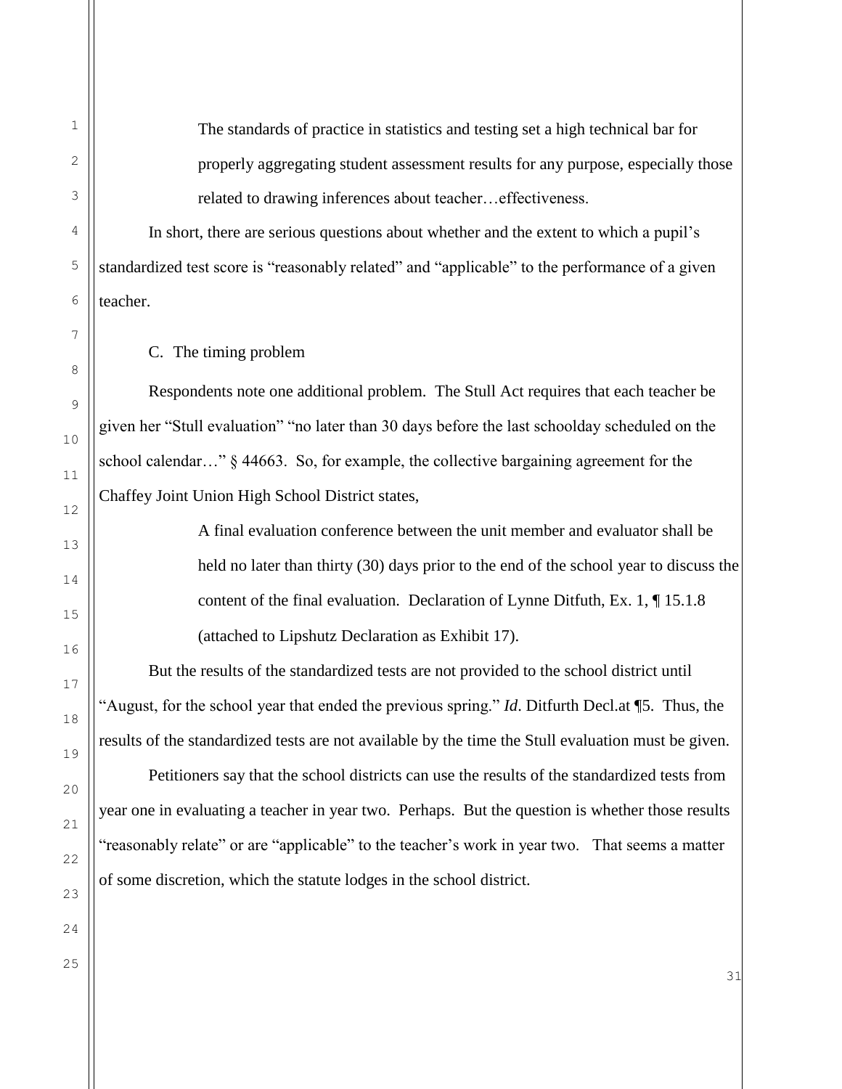The standards of practice in statistics and testing set a high technical bar for properly aggregating student assessment results for any purpose, especially those related to drawing inferences about teacher…effectiveness.

In short, there are serious questions about whether and the extent to which a pupil's standardized test score is "reasonably related" and "applicable" to the performance of a given teacher.

C. The timing problem

Respondents note one additional problem. The Stull Act requires that each teacher be given her "Stull evaluation" "no later than 30 days before the last schoolday scheduled on the school calendar…" § 44663. So, for example, the collective bargaining agreement for the Chaffey Joint Union High School District states,

> A final evaluation conference between the unit member and evaluator shall be held no later than thirty (30) days prior to the end of the school year to discuss the content of the final evaluation. Declaration of Lynne Ditfuth, Ex. 1, ¶ 15.1.8 (attached to Lipshutz Declaration as Exhibit 17).

But the results of the standardized tests are not provided to the school district until "August, for the school year that ended the previous spring." *Id*. Ditfurth Decl.at ¶5. Thus, the results of the standardized tests are not available by the time the Stull evaluation must be given.

Petitioners say that the school districts can use the results of the standardized tests from year one in evaluating a teacher in year two. Perhaps. But the question is whether those results "reasonably relate" or are "applicable" to the teacher's work in year two. That seems a matter of some discretion, which the statute lodges in the school district.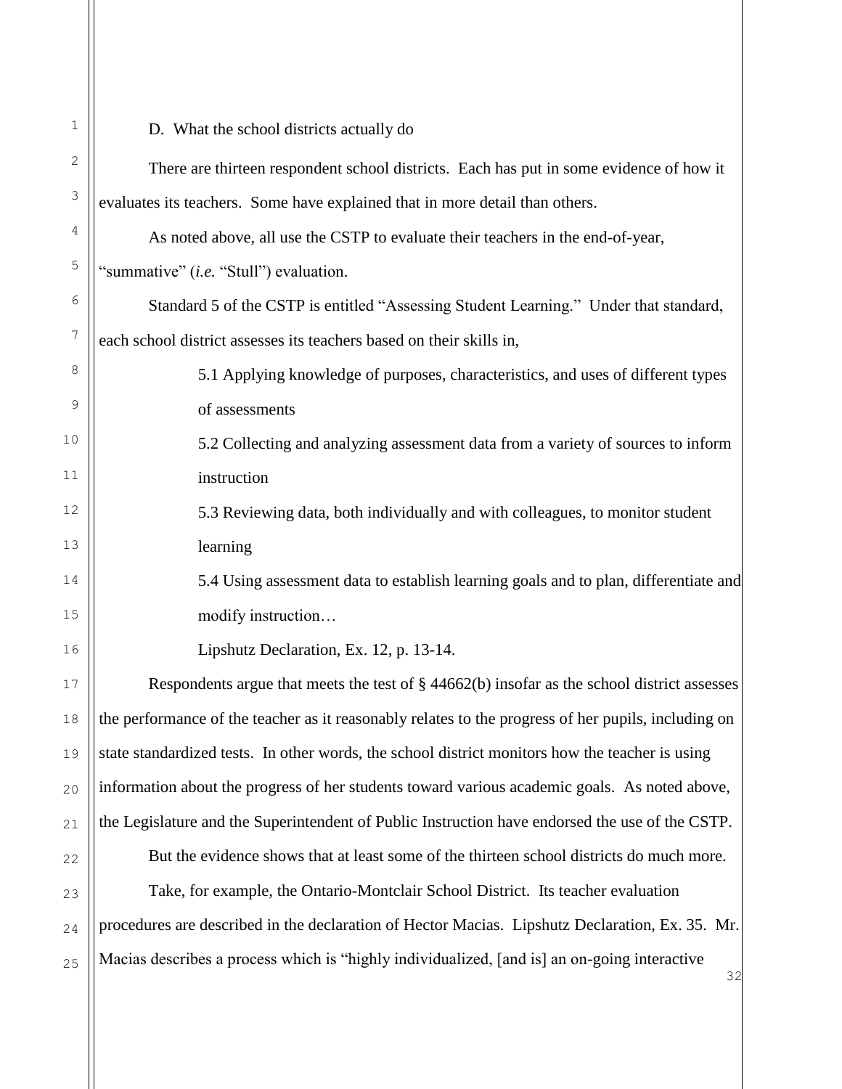| 1              | D. What the school districts actually do                                                            |
|----------------|-----------------------------------------------------------------------------------------------------|
| $\mathbf{2}$   | There are thirteen respondent school districts. Each has put in some evidence of how it             |
| 3              | evaluates its teachers. Some have explained that in more detail than others.                        |
| 4              | As noted above, all use the CSTP to evaluate their teachers in the end-of-year,                     |
| 5              | "summative" (i.e. "Stull") evaluation.                                                              |
| $\epsilon$     | Standard 5 of the CSTP is entitled "Assessing Student Learning." Under that standard,               |
| $\overline{7}$ | each school district assesses its teachers based on their skills in,                                |
| 8              | 5.1 Applying knowledge of purposes, characteristics, and uses of different types                    |
| 9              | of assessments                                                                                      |
| 10             | 5.2 Collecting and analyzing assessment data from a variety of sources to inform                    |
| 11             | instruction                                                                                         |
| 12             | 5.3 Reviewing data, both individually and with colleagues, to monitor student                       |
| 13             | learning                                                                                            |
| 14             | 5.4 Using assessment data to establish learning goals and to plan, differentiate and                |
| 15             | modify instruction                                                                                  |
| 16             | Lipshutz Declaration, Ex. 12, p. 13-14.                                                             |
| 17             | Respondents argue that meets the test of $\S$ 44662(b) insofar as the school district assesses      |
| 18             | the performance of the teacher as it reasonably relates to the progress of her pupils, including on |
| 19             | state standardized tests. In other words, the school district monitors how the teacher is using     |
| 20             | information about the progress of her students toward various academic goals. As noted above,       |
| 21             | the Legislature and the Superintendent of Public Instruction have endorsed the use of the CSTP.     |
| 22             | But the evidence shows that at least some of the thirteen school districts do much more.            |
| 23             | Take, for example, the Ontario-Montclair School District. Its teacher evaluation                    |
| 24             | procedures are described in the declaration of Hector Macias. Lipshutz Declaration, Ex. 35. Mr.     |
| 25             | Macias describes a process which is "highly individualized, [and is] an on-going interactive<br>32  |
|                |                                                                                                     |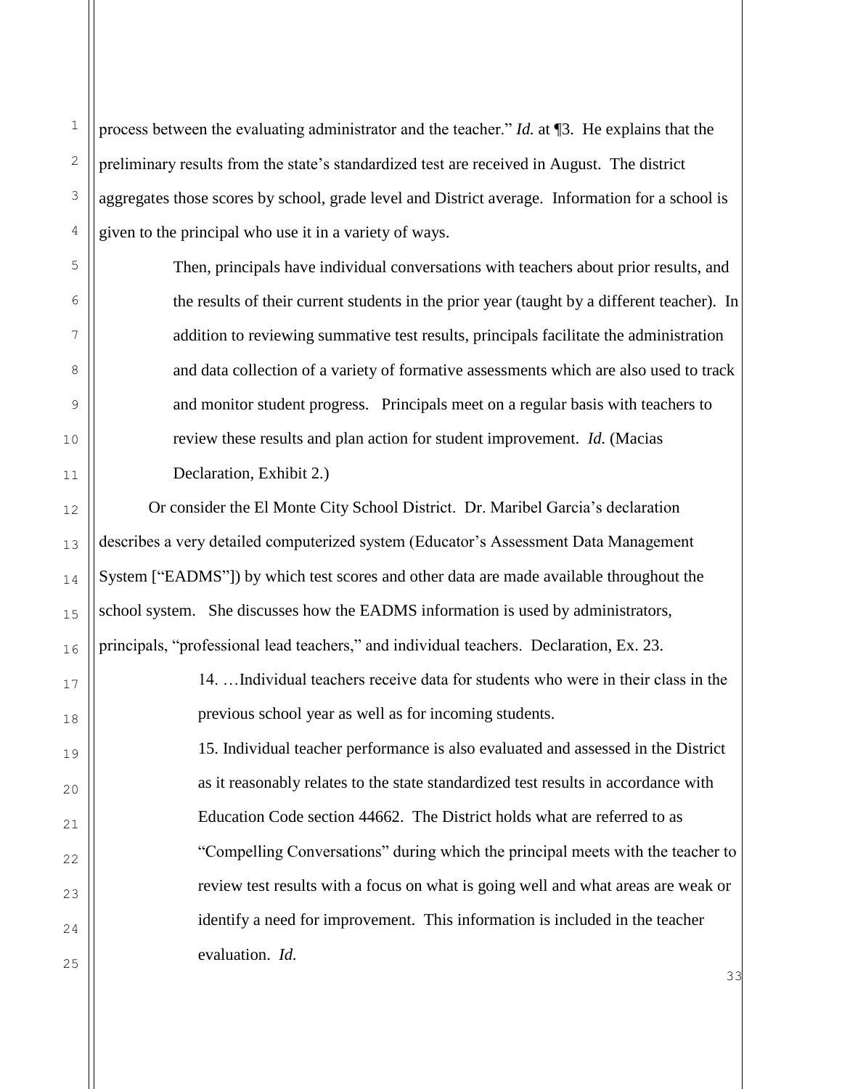process between the evaluating administrator and the teacher." *Id.* at ¶3. He explains that the preliminary results from the state's standardized test are received in August. The district aggregates those scores by school, grade level and District average. Information for a school is given to the principal who use it in a variety of ways.

> Then, principals have individual conversations with teachers about prior results, and the results of their current students in the prior year (taught by a different teacher). In addition to reviewing summative test results, principals facilitate the administration and data collection of a variety of formative assessments which are also used to track and monitor student progress. Principals meet on a regular basis with teachers to review these results and plan action for student improvement. *Id.* (Macias Declaration, Exhibit 2.)

Or consider the El Monte City School District. Dr. Maribel Garcia's declaration describes a very detailed computerized system (Educator's Assessment Data Management System ["EADMS"]) by which test scores and other data are made available throughout the school system. She discusses how the EADMS information is used by administrators, principals, "professional lead teachers," and individual teachers. Declaration, Ex. 23.

> 14. …Individual teachers receive data for students who were in their class in the previous school year as well as for incoming students. 15. Individual teacher performance is also evaluated and assessed in the District as it reasonably relates to the state standardized test results in accordance with Education Code section 44662. The District holds what are referred to as "Compelling Conversations" during which the principal meets with the teacher to review test results with a focus on what is going well and what areas are weak or

identify a need for improvement. This information is included in the teacher evaluation. *Id.*

1

2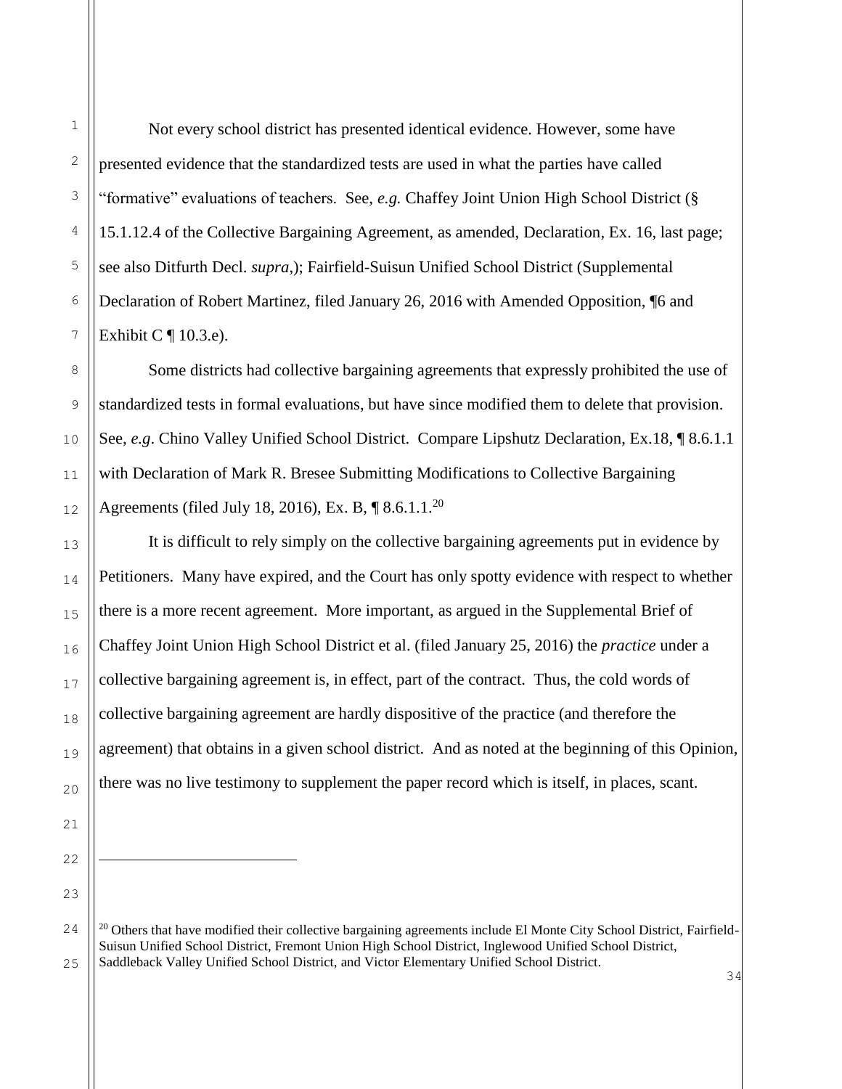ı.

1

Not every school district has presented identical evidence. However, some have presented evidence that the standardized tests are used in what the parties have called "formative" evaluations of teachers. See, *e.g.* Chaffey Joint Union High School District (§ 15.1.12.4 of the Collective Bargaining Agreement, as amended, Declaration, Ex. 16, last page; see also Ditfurth Decl. *supra*,); Fairfield-Suisun Unified School District (Supplemental Declaration of Robert Martinez, filed January 26, 2016 with Amended Opposition, ¶6 and Exhibit C  $\P$  10.3.e).

Some districts had collective bargaining agreements that expressly prohibited the use of standardized tests in formal evaluations, but have since modified them to delete that provision. See, *e.g*. Chino Valley Unified School District. Compare Lipshutz Declaration, Ex.18, ¶ 8.6.1.1 with Declaration of Mark R. Bresee Submitting Modifications to Collective Bargaining Agreements (filed July 18, 2016), Ex. B,  $\sqrt{\phantom{a}}$  8.6.1.1.<sup>20</sup>

It is difficult to rely simply on the collective bargaining agreements put in evidence by Petitioners. Many have expired, and the Court has only spotty evidence with respect to whether there is a more recent agreement. More important, as argued in the Supplemental Brief of Chaffey Joint Union High School District et al. (filed January 25, 2016) the *practice* under a collective bargaining agreement is, in effect, part of the contract. Thus, the cold words of collective bargaining agreement are hardly dispositive of the practice (and therefore the agreement) that obtains in a given school district. And as noted at the beginning of this Opinion, there was no live testimony to supplement the paper record which is itself, in places, scant.

 $20$  Others that have modified their collective bargaining agreements include El Monte City School District, Fairfield-Suisun Unified School District, Fremont Union High School District, Inglewood Unified School District, Saddleback Valley Unified School District, and Victor Elementary Unified School District.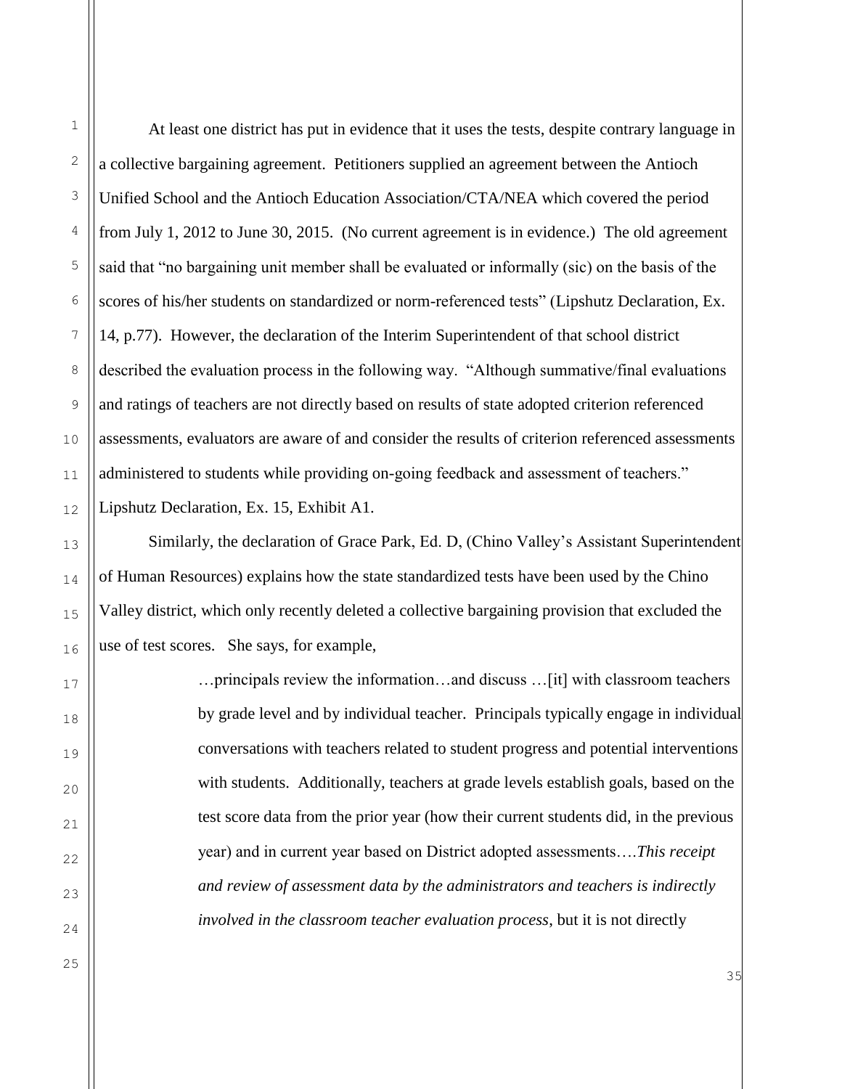1

2

At least one district has put in evidence that it uses the tests, despite contrary language in a collective bargaining agreement. Petitioners supplied an agreement between the Antioch Unified School and the Antioch Education Association/CTA/NEA which covered the period from July 1, 2012 to June 30, 2015. (No current agreement is in evidence.) The old agreement said that "no bargaining unit member shall be evaluated or informally (sic) on the basis of the scores of his/her students on standardized or norm-referenced tests" (Lipshutz Declaration, Ex. 14, p.77). However, the declaration of the Interim Superintendent of that school district described the evaluation process in the following way. "Although summative/final evaluations and ratings of teachers are not directly based on results of state adopted criterion referenced assessments, evaluators are aware of and consider the results of criterion referenced assessments administered to students while providing on-going feedback and assessment of teachers." Lipshutz Declaration, Ex. 15, Exhibit A1.

Similarly, the declaration of Grace Park, Ed. D, (Chino Valley's Assistant Superintendent of Human Resources) explains how the state standardized tests have been used by the Chino Valley district, which only recently deleted a collective bargaining provision that excluded the use of test scores. She says, for example,

> …principals review the information…and discuss …[it] with classroom teachers by grade level and by individual teacher. Principals typically engage in individual conversations with teachers related to student progress and potential interventions with students. Additionally, teachers at grade levels establish goals, based on the test score data from the prior year (how their current students did, in the previous year) and in current year based on District adopted assessments….*This receipt and review of assessment data by the administrators and teachers is indirectly involved in the classroom teacher evaluation process*, but it is not directly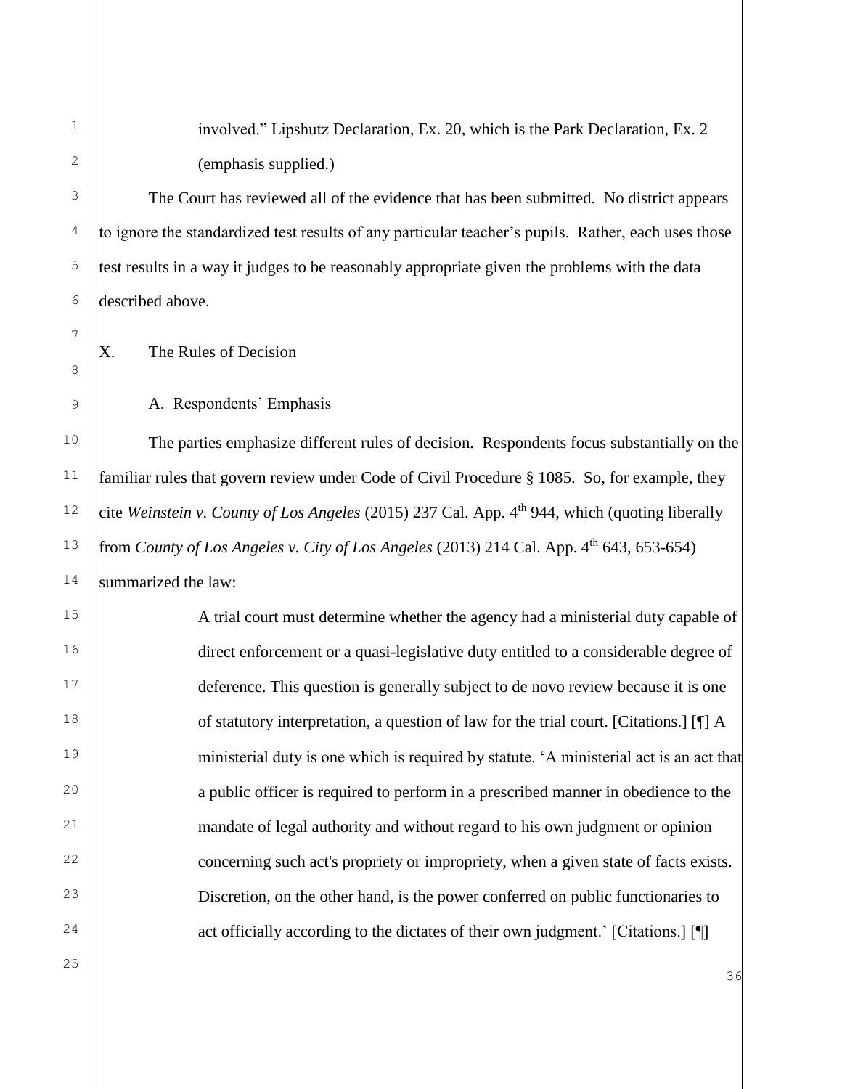involved." Lipshutz Declaration, Ex. 20, which is the Park Declaration, Ex. 2 (emphasis supplied.)

The Court has reviewed all of the evidence that has been submitted. No district appears to ignore the standardized test results of any particular teacher's pupils. Rather, each uses those test results in a way it judges to be reasonably appropriate given the problems with the data described above.

X. The Rules of Decision

A. Respondents' Emphasis

The parties emphasize different rules of decision. Respondents focus substantially on the familiar rules that govern review under Code of Civil Procedure § 1085. So, for example, they cite *Weinstein v. County of Los Angeles* (2015) 237 Cal. App. 4<sup>th</sup> 944, which (quoting liberally from *County of Los Angeles v. City of Los Angeles* (2013) 214 Cal. App. 4th 643, 653-654) summarized the law:

> A trial court must determine whether the agency had a ministerial duty capable of direct enforcement or a quasi-legislative duty entitled to a considerable degree of deference. This question is generally subject to de novo review because it is one of statutory interpretation, a question of law for the trial court. [Citations.] [¶] A ministerial duty is one which is required by statute. 'A ministerial act is an act that a public officer is required to perform in a prescribed manner in obedience to the mandate of legal authority and without regard to his own judgment or opinion concerning such act's propriety or impropriety, when a given state of facts exists. Discretion, on the other hand, is the power conferred on public functionaries to act officially according to the dictates of their own judgment.' [Citations.] [¶]

1

2

3

4

5

6

7

8

9

10

11

12

13

14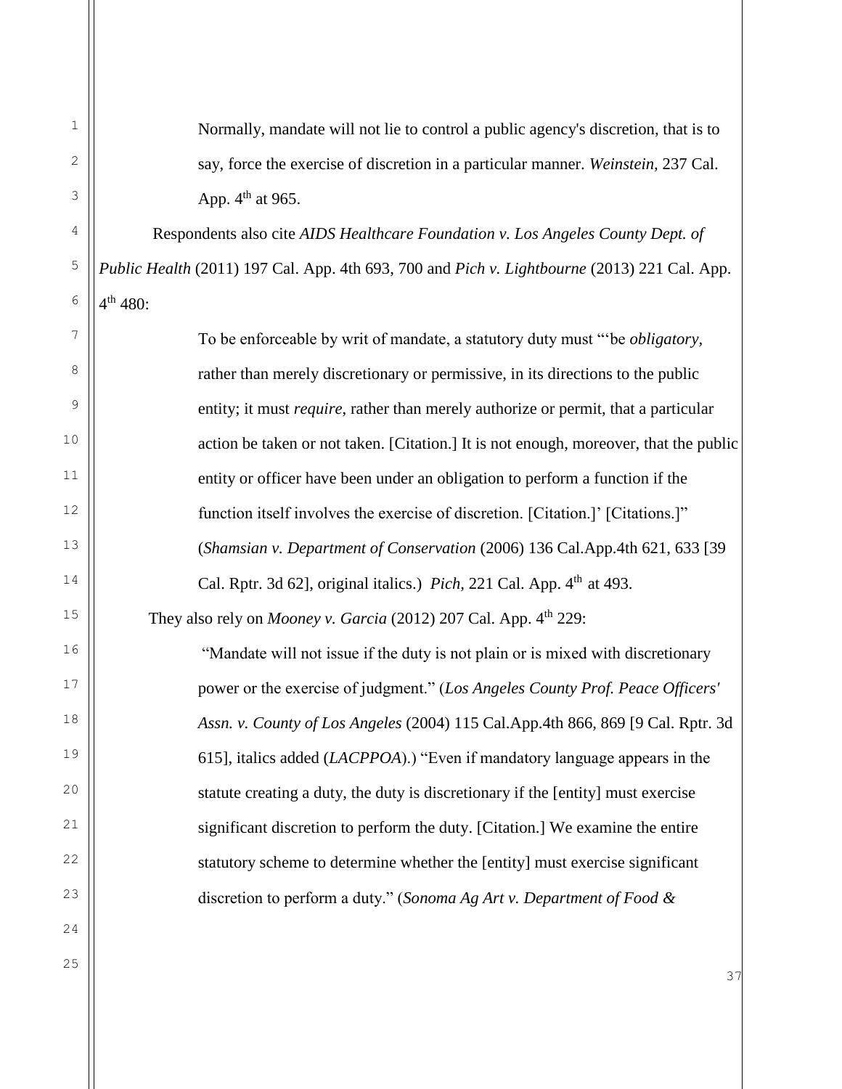| $\mathbf 1$         |                 |
|---------------------|-----------------|
|                     |                 |
| $\overline{c}$      |                 |
| 3                   |                 |
| $\overline{4}$      |                 |
| 5                   | $\partial u$    |
| $\overline{6}$      | $1^{\text{th}}$ |
| 7                   |                 |
| 8                   |                 |
| 9                   |                 |
| 10                  |                 |
| 11                  |                 |
| 12                  |                 |
| 13                  |                 |
| 14                  |                 |
| 15                  |                 |
| 16                  |                 |
| 17                  |                 |
| 18                  |                 |
| 19                  |                 |
| 20                  |                 |
| $\overline{21}$     |                 |
| $\overline{22}$     |                 |
| $\overline{c}$<br>3 |                 |
| $\overline{2}$<br>4 |                 |
| 5<br>2              |                 |

Normally, mandate will not lie to control a public agency's discretion, that is to say, force the exercise of discretion in a particular manner. *Weinstein,* 237 Cal. App.  $4<sup>th</sup>$  at 965.

Respondents also cite *AIDS Healthcare Foundation v. Los Angeles County Dept. of Public Health* (2011) 197 Cal. App. 4th 693, 700 and *Pich v. Lightbourne* (2013) 221 Cal. App.  $480:$ 

To be enforceable by writ of mandate, a statutory duty must "'be *obligatory*, rather than merely discretionary or permissive, in its directions to the public entity; it must *require*, rather than merely authorize or permit, that a particular action be taken or not taken. [Citation.] It is not enough, moreover, that the public entity or officer have been under an obligation to perform a function if the function itself involves the exercise of discretion. [Citation.]' [Citations.]" (*Shamsian v. Department of Conservation* (2006) 136 Cal.App.4th 621, 633 [39 Cal. Rptr. 3d 621, original italics.) *Pich*, 221 Cal. App. 4<sup>th</sup> at 493. They also rely on *Mooney v. Garcia* (2012) 207 Cal. App. 4<sup>th</sup> 229: "Mandate will not issue if the duty is not plain or is mixed with discretionary power or the exercise of judgment." (*Los Angeles County Prof. Peace Officers' Assn. v. County of Los Angeles* (2004) 115 Cal.App.4th 866, 869 [9 Cal. Rptr. 3d 615], italics added (*LACPPOA*).) "Even if mandatory language appears in the statute creating a duty, the duty is discretionary if the [entity] must exercise significant discretion to perform the duty. [Citation.] We examine the entire statutory scheme to determine whether the [entity] must exercise significant discretion to perform a duty." (*Sonoma Ag Art v. Department of Food &*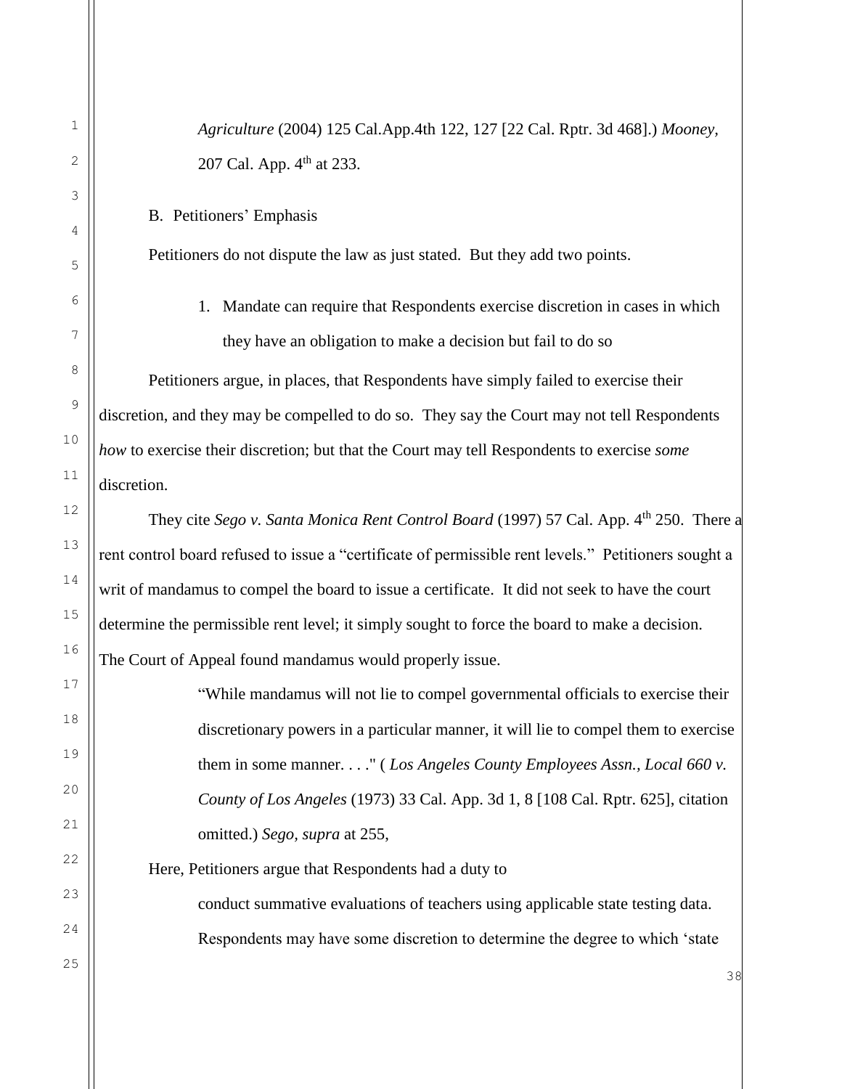| 1           |                                                                                                      |
|-------------|------------------------------------------------------------------------------------------------------|
|             | Agriculture (2004) 125 Cal.App.4th 122, 127 [22 Cal. Rptr. 3d 468].) Mooney,                         |
| 2           | 207 Cal. App. 4 <sup>th</sup> at 233.                                                                |
| 3           | B. Petitioners' Emphasis                                                                             |
| 4           |                                                                                                      |
| 5           | Petitioners do not dispute the law as just stated. But they add two points.                          |
| 6           | 1. Mandate can require that Respondents exercise discretion in cases in which                        |
| 7           | they have an obligation to make a decision but fail to do so                                         |
| 8           | Petitioners argue, in places, that Respondents have simply failed to exercise their                  |
| $\mathsf 9$ | discretion, and they may be compelled to do so. They say the Court may not tell Respondents          |
| 10          | how to exercise their discretion; but that the Court may tell Respondents to exercise some           |
| 11          | discretion.                                                                                          |
| 12          | They cite Sego v. Santa Monica Rent Control Board (1997) 57 Cal. App. 4 <sup>th</sup> 250. There a   |
| 13          | rent control board refused to issue a "certificate of permissible rent levels." Petitioners sought a |
| 14          | writ of mandamus to compel the board to issue a certificate. It did not seek to have the court       |
| 15          | determine the permissible rent level; it simply sought to force the board to make a decision.        |
| 16          | The Court of Appeal found mandamus would properly issue.                                             |
| 17          | "While mandamus will not lie to compel governmental officials to exercise their                      |
| 18          | discretionary powers in a particular manner, it will lie to compel them to exercise                  |
| 19          | them in some manner" ( <i>Los Angeles County Employees Assn., Local 660 v.</i>                       |
| 20          | County of Los Angeles (1973) 33 Cal. App. 3d 1, 8 [108 Cal. Rptr. 625], citation                     |
| 21          | omitted.) Sego, supra at 255,                                                                        |
| 22          | Here, Petitioners argue that Respondents had a duty to                                               |
| 23          | conduct summative evaluations of teachers using applicable state testing data.                       |
| 24          | Respondents may have some discretion to determine the degree to which 'state                         |
| $25$        | 3 Q                                                                                                  |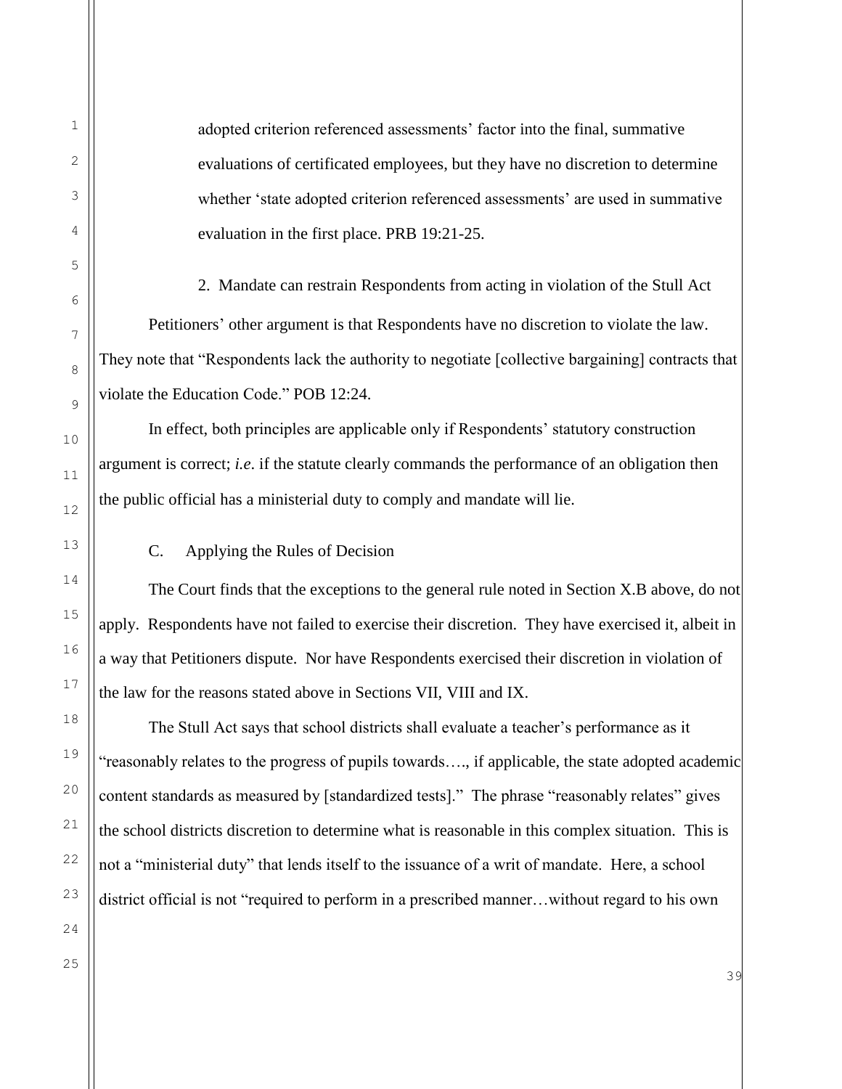adopted criterion referenced assessments' factor into the final, summative evaluations of certificated employees, but they have no discretion to determine whether 'state adopted criterion referenced assessments' are used in summative evaluation in the first place. PRB 19:21-25.

2. Mandate can restrain Respondents from acting in violation of the Stull Act Petitioners' other argument is that Respondents have no discretion to violate the law. They note that "Respondents lack the authority to negotiate [collective bargaining] contracts that violate the Education Code." POB 12:24.

In effect, both principles are applicable only if Respondents' statutory construction argument is correct; *i.e*. if the statute clearly commands the performance of an obligation then the public official has a ministerial duty to comply and mandate will lie.

C. Applying the Rules of Decision

The Court finds that the exceptions to the general rule noted in Section X.B above, do not apply. Respondents have not failed to exercise their discretion. They have exercised it, albeit in a way that Petitioners dispute. Nor have Respondents exercised their discretion in violation of the law for the reasons stated above in Sections VII, VIII and IX.

The Stull Act says that school districts shall evaluate a teacher's performance as it "reasonably relates to the progress of pupils towards…., if applicable, the state adopted academic content standards as measured by [standardized tests]." The phrase "reasonably relates" gives the school districts discretion to determine what is reasonable in this complex situation. This is not a "ministerial duty" that lends itself to the issuance of a writ of mandate. Here, a school district official is not "required to perform in a prescribed manner…without regard to his own